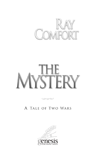

### A TALE OF TWO WARS

 $\infty$ 

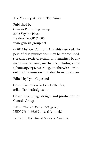### **The Mystery: A Tale of Two Wars**

Published by Genesis Publishing Group 2002 Skyline Place Bartlesville, OK 74006 www.genesis-group.net

© 2014 by Ray Comfort. All rights reserved. No part of this publication may be reproduced, stored in a retrieval system, or transmitted by any means—electronic, mechanical, photographic (photocopying), recording, or otherwise—without prior permission in writing from the author.

Edited by Lynn Copeland

Cover illustration by Erik Hollander, erikhollanderdesign.com

Cover layout, page design, and production by Genesis Group

```
ISBN 978-1-933591-17-9 (pbk.)
ISBN 978-1-933591-18-6 (e-book)
```
Printed in the United States of America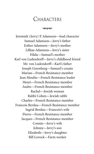# **CHARACTERS**

 $\sim$ 

Jeremiah (Jerry) P. Adamson—lead character Samuel Adamson—Jerry's father Esther Adamson—Jerry's mother Lillian Adamson—Jerry's sister Hilda—Samuel's mother Karl von Ludendorff—Jerry's childhood friend Mr. von Ludendorff—Karl's father Joseph Greenberg—Samuel's cousin Marian—French Resistance member Jean Moulin—French Resistance leader Henri—French Resistance member Andre—French Resistance member Rachel—Jewish woman Rabbi Cohen—Jewish rabbi Charles—French Resistance member Francois Berdau—French Resistance member Ingrid Berdau—Francois's wife Pierre—French Resistance member Jacques—French Resistance member Connie—Jerry's wife Johnny—Jerry's son Elizabeth—Jerry's daughter Bill Lovock—Farm worker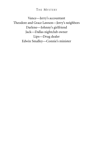### THE MYSTERY

Vance—Jerry's accountant Theodore and Grace Lawson—Jerry's neighbors Darlene—Johnny's girlfriend Jack—Dallas nightclub owner Lips—Drug dealer Edwin Smalley—Connie's minister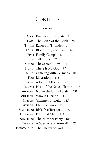### CONTENTS

 $\infty$ 

**ONE:** Enemies of the State 7 **TWO:** The Reign of the Reich 28 **THREE:** Echoes of Thunder 34 FOUR: Blood, Toil, and Tears 46 **FIVE:** Family Camps 57 SIX: Tall Order 67 **SEVEN:** The Secret Room 84 **EIGHT:** There Is No God 97 **NINE:** Crawling with Germans 104 **TEN:** Liberation! 115 **ELEVEN:** A Faithful Friend 120 **TWELVE:** Heat of the Naked Flames 127 **THIRTEEN:** Not in the United States 131 **FOURTEEN:** Who Is Luciano? 135 **FIFTEEN:** Glimmer of Light 145 **SIXTEEN:** I Need a Favor 151 **SEVENTEEN:** Risk-free Territory 160 **EIGHTEEN:** Educated Man 174 **NINETEEN:** The Number Forty 184 **TWENTY:** A Spectacle of Yourself 197 **TWENTY-ONE:** The Enemy of God 205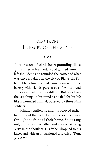# CHAPTER ONE ENEMIES OF THE STATE

#### $\infty$

J ERRY COULD feel his heart pounding like a hammer in his chest. Blood gushed from his left shoulder as he rounded the corner of what was once a bakery in the city of Bialystok, Poland. Many times he had casually walked to the bakery with friends, purchased soft white bread and eaten it while it was still hot. But bread was the last thing on his mind as he fled for his life like a wounded animal, pursued by three Nazi soldiers.

Minutes earlier, he and his beloved father had run out the back door as the soldiers burst through the front of their home. Shots rang out, one hitting his father and another striking Jerry in the shoulder. His father dropped to his knees and with an impassioned cry, yelled,"Run, Jerry! *Run!*"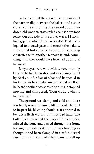As he rounded the corner, he remembered the narrow alley between the bakery and a shoe store. At the end of the alley stood about two dozen old wooden crates piled against a six-foot fence. On one side of the crates was a 14-inchhigh gap into which he often crawled. That opening led to a crawlspace underneath the bakery, a cramped but suitable hideout for smoking cigarettes with another teenage friend, something his father would have frowned upon . . . if he knew.

Jerry's eyes were wild with terror, not only because he had been shot and was being chased by Nazis, but for fear of what had happened to his father. As he crawled under the bakery floor he heard another two shots ring out. He stopped moving and whispered, "Dear God...what is happening?"

The ground was damp and cold and there was barely room for him to lift his head. He tried to inspect his bleeding shoulder. It appeared to be just a flesh wound but it scared him. The bullet had entered at the back of his shoulder, missed the bone and passed through the front, tearing the flesh as it went. It was burning as though it had been clamped in a red-hot steel vise, causing uncontrollable groans to well up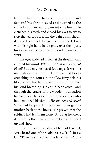from within him. His breathing was deep and fast and his chest heaved and burned as the chilled night air was drawn into his lungs. He clenched his teeth and closed his eyes to try to stop the tears, both from the pain of his shoulder and the dread that gripped his heart. Even with his right hand held tightly over the injury, his sleeve was crimson with blood down to his wrist.

His eyes widened in fear at the thought that entered his mind. *What if he had left a trail of blood?* Suddenly he heard footsteps! It was the unmistakable sound of leather-soled boots crunching the stones in the alley. Jerry held his blood-drenched hand over his mouth to quiet his loud breathing. He could hear voices, and through the cracks of the wooden foundation he could see the legs of the three soldiers who had terrorized his family. *His mother and sister!* What had happened to them, and to his grandmother, back at the house? He prayed that the soldiers had left them alone. As far as he knew, it was only the men who were being rounded up and shot.

From the German dialect he had learned, Jerry heard one of the soldiers say, "He's just a lad!" Then he said something Jerry couldn't un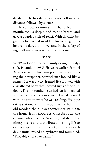derstand. The footsteps then headed off into the distance, followed by silence.

Jerry slowly removed his hand from his mouth, took a deep blood-tasting breath, and gave a guarded sigh of relief. With daylight beginning to dawn, it would be twelve long hours before he dared to move, and in the safety of nightfall make his way back to his home.

#### $\infty$

WHAT WAS AN American family doing in Bialystok, Poland, in 1939? Six years earlier, Samuel Adamson sat on his farm porch in Texas, reading the newspaper. Samuel sure looked like a farmer. He was a wiry-framed five foot ten with a weathered body that showed signs of the outdoors. The hot southern sun had left him tanned with an earthy appearance, as he leaned forward with interest in what he was reading. His pipe sat as stationary in his mouth as he did in his old wooden chair. It was September 1933. On the home-front Robert A. Chesebrough, the chemist who invented Vaseline, had died. The ninety-six-year-old attributed his long life to eating a spoonful of the sticky substance each day. Samuel raised an eyebrow and mumbled, "Probably choked to death."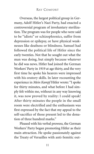Overseas, the largest political group in Germany, Adolf Hitler's Nazi Party, had enacted a controversial program of involuntary sterilization. The program was for people who were said to be "idiots" or schizophrenics, suffer from depression or epilepsy, or have physical weaknesses like deafness or blindness. Samuel had followed the political life of Hitler since the early twenties. Not that he sought out what the man was doing, but simply because whatever he did was news. Hitler had joined the German Workers' Party in 1919 at age thirty, and the very first time he spoke his hearers were impressed with his oratory skills. In later recounting the experience in *Mein Kampf* Hitler wrote: "I spoke for thirty minutes, and what before I had simply felt within me, without in any way knowing it, was now proved by reality: I could speak! After thirty minutes the people in the small room were electrified and the enthusiasm was first expressed by the fact that my appeal to the self-sacrifice of those present led to the donation of three hundred marks."

Pleased with his verbal prowess, the German Workers' Party began promoting Hitler as their main attraction. He spoke passionately against the Treaty of Versailles with anti-Semitic out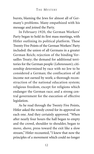bursts, blaming the Jews for almost all of Germany's problems. Many empathized with his message and joined the Party.

In February 1920, the German Workers' Party began to hold its first mass meetings, with Hitler outlining its political platform. These Twenty Five Points of the German Workers' Party included: the union of all Germans in a greater German Reich; rejection of the binding Versailles Treaty; the demand for additional territories for the German people (*Lebensraum*); citizenship determined by race with no Jew to be considered a German; the confiscation of all income not earned by work; a thorough reconstruction of the national education system; religious freedom, except for religions which endanger the German race; and a strong central government for the execution of effective legislation.

As he read through the Twenty Five Points, Hitler asked the rowdy crowd for its approval on each one. And they certainly approved. "When after nearly four hours the hall began to empty and the crowd, shoulder to shoulder, began to move, shove, press toward the exit like a slow stream," Hitler recounted, "I knew that now the principles of a movement which could no longer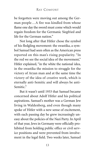be forgotten were moving out among the German people...A fire was kindled from whose flame one day the sword must come which would regain freedom for the Germanic Siegfried and life for the German nation."

Not long after that Hitler chose the symbol of his fledgling movement: the swastika, a symbol Samuel had seen often as the American press reported on this man's rising popularity. "In the red we see the social idea of the movement," Hitler explained, "in the white the national idea, in the swastika the mission to struggle for the victory of Aryan man and at the same time the victory of the idea of creative work, which is eternally anti-Semitic and will always be anti-Semitic<sup>"</sup>

But it wasn't until 1933 that Samuel became concerned about Adolf Hitler and his political aspirations. Samuel's mother was a German Jew living in Waldenberg, and even though many spoke of Hitler with a new sense of excitement, with each passing day he grew increasingly uneasy about the policies of the Nazi Party. In April of that year, Jews in Germany were officially prohibited from holding public office or civil service positions and were prevented from involvement in the legal field. Two weeks later, Samuel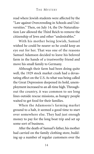read where Jewish students were affected by the "Law against Overcrowding in Schools and Universities." Then, on July 14, the De-Naturalization Law allowed the Third Reich to remove the citizenship of Jews and other "undesirables."

With his mother being Jewish, Samuel wished he could be nearer so he could keep an eye out for her. That was one of the reasons Samuel Adamson decided to leave his beloved farm in the hands of a trustworthy friend and move his small family to Germany.

Although their farm had been doing quite well, the 1929 stock market crash had a devastating effect on the U.S. As what was being called the Great Depression deepened its hold, unemployment increased to an all-time high. Throughout the country, it was common to see long lines outside rescue missions, as hungry people waited to get food for their families.

When the Adamsons's farming market ground to a halt, it seemed a good time to start over somewhere else. They had just enough money to pay for the long boat trip and set up some sort of business.

After the death of Samuel's father, his mother had carried on the family clothing store, building up a number of regular customers over the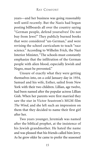years—and her business was going reasonably well until recently. But the Nazis had begun posting billboards all over the country saying "German people, defend yourselves! Do not buy from Jews!" They publicly burned books that were considered "un-German," and were revising the school curriculum to teach "race science." According to Wilhelm Frick, the Nazi Interior Minister, "The schools must constantly emphasize that the infiltration of the German people with alien blood, especially Jewish and Negro, must be prevented."

Unsure of exactly what they were getting themselves into, on a cold January day in 1934, Samuel and his wife, Esther, sailed from New York with their two children. Lillian, age twelve, had been named after the popular actress Lillian Gish. When her parents were first married they saw the star in Victor Seastrom's MGM film *The Wind*, and she left such an impression on them that they decided to name their first girl after her.

Two years younger, Jeremiah was named after the biblical prophet, at the insistence of his Jewish grandmother. He hated the name and was pleased that his friends called him Jerry. As he grew older he came to prefer the seasoned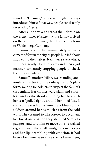sound of "Jeremiah," but even though he always introduced himself that way, people consistently reverted to "Jerry."

After a long voyage across the Atlantic on the French liner *Normandie*, the family arrived on the shores of France, then traveled by train to Waldenberg, Germany.

Samuel and Esther immediately sensed a climate of fear in the city, as people hurried about and kept to themselves. Nazis were everywhere, with their neatly fitted uniforms and their rigid manner, constantly stopping people to check their documentation.

Samuel's mother, Hilda, was standing anxiously at the back of the railway station's platform, waiting for soldiers to inspect the family's credentials. Her clothes were plain and colorless, and as she stood clutching her bag with her scarf pulled tightly around her lined face, it seemed she was hiding from the coldness of the soldiers around her as much as from the cold wind. They seemed to take forever to document her loved ones. When they stamped Samuel's passport and told him to move on, she walked eagerly toward the small family, tears in her eyes and her lips trembling with emotion. It had been a long nine years since she had seen them,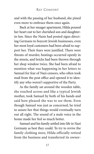and with the passing of her husband, she pined even more to embrace them once again.

Back at her meager apartment, Hilda poured her heart out to her cherished son and daughterin-law. Since the Nazis had posted signs directing Germans to boycott Jewish businesses, even her most loyal customers had been afraid to support her. Their fears were justified. There were threats of murder, beatings occurred openly in the streets, and bricks had been thrown through her shop window twice. She had been afraid to mention what was happening in her letters to Samuel for fear of Nazi censors, who often took mail from the post office and opened it to identify any who weren't supportive of the Party.

As the family sat around the wooden table, she reached across and like a typical Jewish mother, took Samuel by both of his hands and said how pleased she was to see them. Even though Samuel was just as concerned, he tried to assure her that things would eventually turn out all right. The sound of a male voice in the home made her feel so much better.

Samuel and his family settled into life in Nazi Germany as best they could. To try to revive the family clothing store, Hilda officially retired from the business and transferred its owner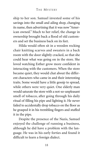ship to her son. Samuel invested some of his savings into the small and ailing shop, changing its name, then advertising that it was now "American owned." Much to her relief, the change in ownership brought back a flood of old customers and set the business back on its feet.

Hilda would often sit in a wooden rocking chair knitting scarves and sweaters in a back room with the door slightly cracked, so that she could hear what was going on in the store. She loved watching Esther grow more confident in interacting with the customers. When the store became quiet, they would chat about the different characters who came in and their interesting traits. Some would have a little gossip to spread, while others were very quiet. One elderly man would saturate the store with a not-so-unpleasant smell of tobacco, after going through his daily ritual of filling his pipe and lighting it. He never failed to accidentally drop tobacco on the floor as he grasped it in his trembling fingers and stuffed it in the pipe.

Despite the presence of the Nazis, Samuel enjoyed the challenge of running a business, although he did have a problem with the language. He was in his early forties and found it difficult to learn a foreign dialect.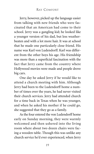Jerry, however, picked up the language easier from talking with new friends who were fascinated that an American had come to their school. Jerry was a gangling kid; he looked like a younger version of his dad, but less weatherbeaten and with a lot more hair. It was at school that he made one particularly close friend. His name was Karl von Ludendorff. Karl was different from the other boys his age. His friendship was more than a superficial fascination with the fact that Jerry came from the country where Hollywood movies were made and people drove big cars.

One day he asked Jerry if he would like to attend a church meeting with him. Although Jerry had been to the Ludendorff home a number of times over the years, he had never visited their church services. Jerry had attended church for a time back in Texas when he was younger, and when he asked his mother if he could go, she suggested that they go as a family.

As the four entered the von Ludendorff home early on Sunday morning, they were warmly welcomed and then ushered into the living room where about two dozen chairs were facing a wooden table. Though this was unlike any church service he'd ever experienced, when Jerry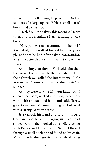walked in, he felt strangely peaceful. On the table rested a large opened Bible, a small loaf of bread, and a silver cup.

"Fresh from the bakery this morning." Jerry turned to see a smiling Karl standing by the bread.

"Have you ever taken communion before?" Karl asked, as he walked toward him. Jerry explained that he had often taken communion when he attended a small Baptist church in Texas.

As the boys sat down, Karl told him that they were closely linked to the Baptists and that their church was called the International Bible Researchers. "Sounds impressive, doesn't it?" he laughed.

As they were talking Mr. von Ludendorff entered the room, winked at his son, leaned forward with an extended hand and said, "Jerry, good to see you! Welcome," in English, but laced with a strong German accent.

Jerry shook his hand and said in his best German, "Nice to see you again, sir." Karl's dad smiled warmly then looked at his wife chatting with Esther and Lillian, while Samuel flicked through a small book he had found on his chair. Mr. von Ludendorff greeted the family, shaking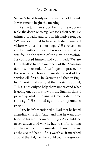Samuel's hand firmly as if he were an old friend. It was time to begin the meeting.

As the tall man stood behind the wooden table, the dozen or so regulars took their seats. He grinned broadly and said in his native tongue, "We are so excited to have such distinguished visitors with us this morning . . . "His voice then cracked with emotion. It was evident that he was feeling the strain of the Nazi oppression. He composed himself and continued, "We are truly thrilled to have members of the Adamson family with us today. After I open in prayer, for the sake of our honored guests the rest of the service will first be in German and then in English." Looking directly at the guests he added, "This is not only to help them understand what is going on, but to show off the English skills I picked up while studying in Great Britain some time ago." He smiled again, then opened in prayer.

Jerry hadn't mentioned to Karl that he hated attending church in Texas and that he went only because his mother made him go. As a child, he never understood why he had to sit for so long and listen to a boring minister. He used to stare at the second hand of his watch as it marched around the dial, then he would count the grooves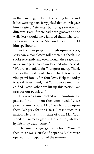in the paneling, bulbs in the ceiling lights, and ladies wearing hats. Jerry joked that church gave him a taste of "eternity," but today's service was different. Even if there had been grooves on the walls Jerry would have ignored them. The conviction in the voice of Mr. von Ludendorff held him spellbound.

As the man prayed, through squinted eyes, Jerry saw a tear slowly roll down his cheek. He spoke reverently and even though the prayer was in German Jerry could understand what he said: "We are so thankful for Your great mercy. Thank You for the mystery of Christ. Thank You for divine provision . . . for Your love. Help me today to speak Your mind, that Your people might be edified. Now Father, we lift up this nation. We pray for our people ..."

His voice again cracked with emotion. He paused for a moment then continued, ". . . we pray for our people. May Your hand be upon them. We pray for the Nazis. Please touch this nation. Help us in this time of trial. May Your wonderful name be glorified in our lives, whether by life or by death. Amen."

The small congregation echoed "Amen," then there was a rustle of paper as Bibles were opened in anticipation of the sermon.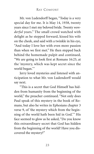Mr. von Ludendorff began, "Today is a very special day for me. It is May 14, 1938, twenty years since I met my beloved bride. Twenty *wonderful* years." The small crowd watched with delight as he stepped forward, kissed his wife on the cheek, and said with a twinkle in his eye, "And today I love her with even more passion than when we first met." He then stepped back behind the homemade pulpit and continued, "We are going to look first at Romans 16:25, at the 'mystery, which was kept secret since the world began.'"

Jerry loved mysteries and listened with anticipation to what Mr. von Ludendorff would say next.

"This is a secret that God Himself has hidden from humanity from the beginning of the world," the preacher continued. "Not only does Paul speak of this mystery in the book of Romans, but also he writes in Ephesians chapter 3 verse 9, of 'the mystery which from the beginning of the world hath been hid in God.'" His face seemed to glow as he asked, "Do you know this extraordinary secret that God has hidden from the beginning of the world? Have you discovered the mystery?"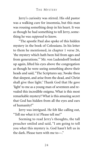Jerry's curiosity was stirred. His old pastor was a walking cure for insomnia, but this man was rousing something deep in his heart. It was as though he had something to tell Jerry, something he was *supposed* to know.

"The apostle Paul also spoke of this hidden mystery in the book of Colossians. In his letter to them he mentioned, in chapter 1 verse 26, 'the mystery which hath been hid from ages and from generations.'" Mr. von Ludendorff looked up again, lifted his eyes above the congregation as though he were seeing something above their heads and said, "The Scriptures say, 'Awake thou that sleepest, and arise from the dead, and Christ shall give thee light.' Thank God that He gave 'light' to me as a young man of seventeen and revealed this incredible enigma. What is this most remarkable mystery? What is this amazing secret that God has hidden from all the eyes and ears of humanity?"

Jerry was intrigued. He felt like calling out, "Tell me what it is! Please tell me!"

Seeming to read Jerry's thoughts, the tall preacher smiled and said, "I am going to tell you what this mystery is. God hasn't left us in the dark. Please turn with me to—."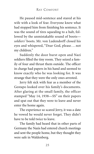He paused mid-sentence and stared at his wife with a look of fear. Everyone knew what had stopped him from finishing his sentence. It was the sound of tires squealing to a halt, followed by the unmistakable sound of boots *soldiers'* boots. Mr. von Ludendorff closed his eyes and whispered, "Dear God, please . . . not my children."

Suddenly the door burst open and Nazi soldiers filled the tiny room. They seized a family of four and thrust them outside. The officer in charge had papers in his hand and seemed to know exactly who he was looking for. It was strange that they were the only ones arrested.

Jerry felt sick with fear as a member of the Gestapo looked over his family's documents. After glaring at the small family, the officer stamped "May 14, 1938—SS" on their papers and spat out that they were to leave and never enter the home again.

The experience so scared Jerry, it was a date he vowed he would never forget. They didn't have to be told twice to leave.

The family had heard that in other parts of Germany the Nazis had entered church meetings and sent the people home, but they thought they were safe in Waldenberg.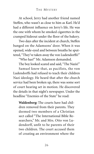At school, Jerry had another friend named Steffen, who wasn't as close to him as Karl. He'd had a different influence on Jerry's life. He was the one with whom he smoked cigarettes in the cramped hideout under the floor of the bakery.

Two days after the incident at church, Steffen banged on the Adamsons' door. When it was opened, wide-eyed and between breaths he sputtered,"They've taken away the von Ludendorffs!"

"Who has?" Mr. Adamson demanded.

The boy looked scared and said,"The Nazis!"

Samuel knew that, as pacifists, the von Ludendorffs had refused to teach their children Nazi ideology. He heard that after the church service had been broken up, there was some sort of court hearing set in motion. He discovered the details in that night's newspaper. Under the headline "Enemies of the State" he read:

**Waldenberg:** The courts have had children removed from their parents. They deemed two members of a Christian sect called "The International Bible Researchers," Mr. and Mrs. Otto von Ludendorff, unfit to be parents of their two children. The court accused them of creating an environment where the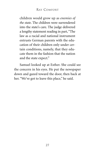children would grow up as *enemies of the state*. The children were surrendered into the state's care. The judge delivered a lengthy statement reading in part,"The law as a racial and national instrument entrusts German parents with the education of their children only under certain conditions, namely, that they educate them in the fashion that the nation and the state expect."

Samuel looked up at Esther. She could see the concern in his eyes. He put the newspaper down and gazed toward the door, then back at her. "We've got to leave this place," he said.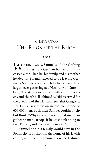# CHAPTER TWO THE REIGN OF THE REICH

### ىممە

MITHIN A WEEK, Samuel sold the clothing business to a German banker and purchased a car. Then he, his family, and his mother headed for Poland, relieved to be leaving Germany. Some years earlier, Hitler had amassed the largest ever gathering at a Nazi rally in Nuremberg. The streets were lined with storm troopers, and church bells chimed as Hitler arrived for the opening of the National Socialist Congress. The Führer reviewed an incredible parade of 600,000 men. Back then Samuel couldn't help but think, "Why on earth would that madman gather so many troops if he wasn't planning to take Europe, and perhaps the world?"

Samuel and his family would stay in the Polish city of Krakow, in the home of his Jewish cousin, until the U.S. Immigration and Natural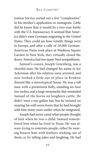ization Service sorted out a few "complexities" in his mother's application to immigrate. Little did he know that it would be a two-year battle with the U.S. bureaucracy. It seemed that America didn't want Germans migrating to the United States. They could see how volatile things were in Europe, and after a rally of 20,000 German-American Nazis took place at Madison Square Garden in New York, they virtually closed the doors. America had too many Nazi sympathizers.

Samuel's cousin, Joseph Greenberg, was a cheerful man. He had changed his name to Joe Ackerman after his relatives were arrested, and now looked a little out of place in Krakow dressed like a stereotypical Texan. He was a tall man with a prominent belly, standing six foot two inches, and a large moustache that reminded Samuel of the horns on longhorn cattle. He didn't wear a ten-gallon hat, but he insisted on wearing his well-worn boots that he had brought with him many years earlier when he emigrated.

Joseph had never cared what people thought of him when he was a child. Samuel remembered him when he lived in Texas. He was always trying to entertain people, either by wearing bizarre hats with feathers sticking out of them, or by telling jokes and laughing. He had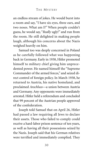an endless stream of jokes. He would burst into a room and say, "I have six eyes, three ears, and two noses. What am I?" When people couldn't guess, he would say, "*Really* ugly!" and run from the room. He still delighted in making people laugh, although his concerns about the Nazis weighed heavily on him.

Samuel too was deeply concerned in Poland as he carefully followed what was happening back in Germany. Early in 1938, Hitler promoted himself to military chief giving him unprecedented power. He named himself the "Supreme Commander of the armed forces," and seized direct control of foreign policy. In March 1938, he returned to Austria, his native homeland, and proclaimed *Anschluss*—a union between Austria and Germany. Any opponents were immediately arrested. Hitler held a referendum and concluded that 99 percent of the Austrian people approved of the confederation.

Joseph told Samuel that on April 26, Hitler had passed a law requiring all Jews to declare their assets. Those who failed to comply could receive a hard-labor prison sentence of ten years, as well as having all their possessions seized by the Nazis. Joseph said that his German relatives were terrified and immediately complied. They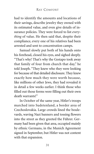had to identify the amounts and locations of their savings, describe jewelry they owned with its estimated value, and even give details of insurance policies. They were forced to list *everything* of value. He then said that, despite their compliance, every one of his relatives had been arrested and sent to concentration camps.

Samuel slowly put both of his hands onto his forehead, closed his eyes, and sighed deeply. "That's why! That's why the Gestapo took away that family of four from church that day," he told Joseph. "They knew who they were looking for because of that detailed disclosure. They knew exactly how much they were worth because, like millions of other Jews, they had revealed it in detail a few weeks earlier. I think those who filled out those forms were filling out their own death warrants!"

In October of the same year, Hitler's troops marched into Sudetenland, a border area of Czechoslovakia. Large crowds lined the boulevards, waving Nazi banners and tossing flowers into the street as they greeted the Führer. Germany had been given that area, occupied mainly by ethnic Germans, in the Munich Agreement signed in September, but Hitler was not content with that expansion.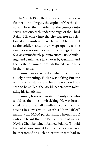In March 1939, the Nazi cancer spread even further—into Prague, the capital of Czechoslovakia. Hitler then divided up the country into several regions, each under the reign of the Third Reich. His entry into the city was not as celebrated as in Austria or Sudetenland. Many jeered at the soldiers and others wept openly as the swastika was raised above the buildings. A curfew was immediately put into effect. Public buildings and banks were taken over by Germans and the Gestapo fanned through the city with lists in their hands.

Samuel was alarmed at what he could see slowly happening. Hitler was taking Europe with little resistance, and because no blood was seen to be spilled, the world leaders were tolerating his fanaticism.

Samuel, however, wasn't the only one who could see the time bomb ticking. He was heartened to read that half a million people lined the streets in New York to watch a "Stop Hitler" march with 20,000 participants. Through BBC radio he heard that the British Prime Minister, Neville Chamberlain, informed Poland, "Should the Polish government feel that its independence be threatened to such an extent that it had to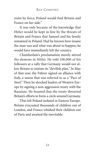resist by force, Poland would find Britain and France on her side."

It was only because of the knowledge that Hitler would be kept in line by the threats of Britain and France that Samuel and his family remained in Poland. Had he known how insane the man was and what was about to happen, he would have immediately left the country.

Chamberlain's proclamation merely stirred the demons in Hitler. He told 100,000 of his followers at a rally that Germany would not allow Britain to initiate its "devilish plan." In May of that year, the Führer signed an alliance with Italy, a union that was referred to as a "Pact of Steel." Then he shocked leaders of Western Europe by signing a non-aggression treaty with the Russians. He boasted that the treaty thwarted Britain's efforts to form a circle around Germany.

That left Poland isolated in Eastern Europe. Britain evacuated thousands of children out of London, and France whisked their children out of Paris and awaited the inevitable.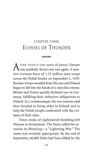## CHAPTER THREE ECHOES OF THUNDER

#### $\infty$

FTER TWENTY-ONE years of peace, Europe was suddenly thrust into war again. A massive German force of 1.25 million men swept across the Polish border on September 1, 1939. Russian troops invaded from the east and Poland began to fall into the hands of a merciless enemy. Britain and France quickly declared war on Germany, fulfilling their defensive obligations to Poland. In a communiqué, the two nations said they invaded to bring order to Poland and to help the Polish people confronted with the collapse of their state.

Three weeks of nightmarish bombing left Warsaw in devastation. The Nazis called the invasion its *Blitzkrieg*—a "Lightning War." The name was certainly appropriate. By the end of September, 60,000 Poles had been killed by the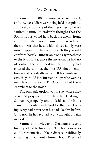Nazi invasion, 200,000 more were wounded, and 700,000 soldiers were being held in captivity.

Krakow was one of the first cities to be assaulted. Samuel mistakenly thought that the Polish troops would hold back the enemy front, and that Britain would come to their aid. But the truth was that he and his beloved family were now trapped. If they went south they would confront hostile Hungarian troops sympathetic to the Nazi cause. Since the invasion, he had no idea where the U.S. stood militarily. If they had entered the conflict, then his U.S. documentation would be a death warrant. If his family went east, they would face Russian troops who were as merciless as the Nazis. The Germans had taken Bromberg to the north.

The only safe option was to stay where they were and pray—and pray they did. That night Samuel wept openly, and took his family in his arms and pleaded with God for their safekeeping. Jerry had never seen his dad like this before. Until now he had scoffed at any thought of faith in God.

Samuel's knowledge of Germany's recent history added to his dread. The Nazis were so coldly systematic . . . like a disease insidiously spreading throughout a human body. They had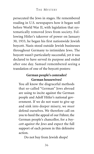persecuted the Jews in stages. He remembered reading in U.S. newspapers how it began well before World War II, with legislation that systematically removed Jews from society. Following Hitler's takeover of power on January 30, 1933, he began his first nationwide Jewish boycott. Nazis stood outside Jewish businesses throughout Germany to intimidate Jews. The boycott wasn't particularly successful, yet it was declared to have served its purpose and ended after one day. Samuel remembered seeing a translation of one of the boycott posters:

### **German people's comrades! German housewives!**

You all know the disgraceful methods that so-called "German" Jews abroad are using to incite against the German people and Adolf Hitler's national government. If we do not want to give up and sink into deeper misery, we *must* defend ourselves. We therefore call on you to heed the appeal of our Führer, the German people's chancellor, for a *boycott against the Jews* and expect the full support of each person in this defensive action.

Do not buy from Jewish shops!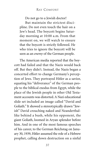## RAY COMFORT

Do not go to a Jewish doctor!

But maintain the strictest discipline. Do not even touch the hair on a Jew's head. The boycott begins Saturday morning at 10:00 a.m. From that moment on, we will watch to ensure that the boycott is strictly followed. He who tries to ignore the boycott will be seen as an *enemy* of the German people.

The American media reported that the boycott had failed and that the Nazis would back off. But they didn't. Instead, the Nazis began a concerted effort to change Germany's perception of Jews. They portrayed Hitler as a savior, equating his "deliverance" of the German people to the biblical exodus from Egypt, while the place of the Jewish people in other Old Testament accounts was distorted. A Nazi educational slide set included an image called "David and Goliath." It showed a stereotypically drawn "Jewish" David crouching naked and Neanderthallike behind a bush, while his opponent, the giant Goliath, loomed in Aryan splendor before him. And in one of the most famous speeches of his career, to the German Reichstag on January 30, 1939, Hitler assumed the role of a Hebrew prophet, calling down destruction on a sinful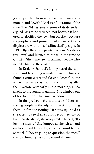Jewish people. His words echoed a theme common in anti-Jewish "Christian" literature of the time. The Old Testament, some of its defenders argued, was to be salvaged, not because it honored or glorified the Jews, but precisely because its prophets and punishments proved God's displeasure with those "stiffnecked" people. In a 1939 flyer they were painted as being "destructive Jews" and likened to those in the time of Christ—"the same Jewish criminal people who nailed Christ to the cross!"

In Krakow, Samuel's family heard the constant and terrifying sounds of war. Echoes of thunder came closer and closer to Joseph's home where they were staying. On the third day after the invasion, very early in the morning, Hilda awoke to the sound of gunfire. She climbed out of bed to peer out her small window.

In the predawn she could see soldiers arresting people in the adjacent street and lining them up for questioning. Her eyes squinted as she tried to see if she could recognize any of them. As she did so, she whispered to herself,"It's just the men..." She jumped as she felt a hand on her shoulder and glanced around to see Samuel. "They're going to question the men," she told him, trying not to sound alarmed.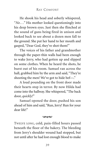He shook his head and soberly whispered, "*No . . .*" His mother looked questioningly into his deep brown eyes. Just then she flinched at the sound of guns being fired in unison and looked back to see about a dozen men fall to the ground. She put her hand to her mouth and gasped, "Dear God, they've shot them!"

The voices of his father and grandmother through the paper-thin walls had been enough to wake Jerry, who had gotten up and slipped on some clothes. When he heard the shots, he burst out of his room. Samuel ran across the hall, grabbed him by the arm and said, "They're shooting the men! We've got to hide bef—."

A loud pounding on the front door made their hearts stop in terror. By now Hilda had come into the hallway. She whispered,"The back door, *quickly!*"

Samuel opened the door, pushed his son ahead of him and said, "Run, Jerry! Run for your dear life!"

#### $\infty$

TWELVE LONG, cold, pain-filled hours passed beneath the floor of the bakery. The bleeding from Jerry's shoulder wound had stopped, but not until after he had lost enough blood to make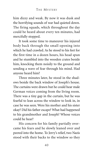him dizzy and weak. By now it was dusk and the horrifying sounds of war had quieted down. The firing squads, which throughout the day could be heard about every ten minutes, had mercifully stopped.

It took some time to maneuver his injured body back through the small opening into which he had crawled. As he stood to his feet for the first time in a dozen hours, his head spun and he stumbled into the wooden crates beside him, knocking them noisily to the ground and sending a wave of fear through his mind. Had anyone heard him?

Three minutes later, he stood in the shadows beside the back window of Joseph's house. The curtains were drawn but he could hear male German voices coming from the living room. There was a tiny gap in the curtain, but he was fearful to lean across the window to look in, in case he was seen. Were his mother and his sister okay? Did his father escape? What had happened to his grandmother and Joseph? Whose voices could he hear?

His concern for his family partially overcame his fears and he slowly leaned over and peered into the home. To Jerry's relief, two Nazis stood with their backs to the window so they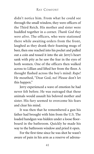didn't notice him. From what he could see through the small window, they were officers of the Third Reich. His mother and sister were huddled together in a corner. *Thank God they were alive*. The officers, who were stationed there while awaiting orders from the front, laughed as they drank their foaming mugs of beer, then one reached into his pocket and pulled out a coin and tossed it into the air. Jerry's heart sank with pity as he saw the fear in the eyes of both women. One of the officers then walked across to Lillian and lifted her from the floor. A thought flashed across the boy's mind: *Rape!* He mouthed, "Dear God, no! Please don't let this happen."

Jerry experienced a wave of emotion he had never felt before. He was outraged that these animals would assault his beloved mother and sister. His fury seemed to overcome his fears and clear his mind.

It was then that he remembered a gun his father had brought with him from the U.S. The loaded handgun was hidden under a loose floorboard in the bathroom. Quickly he made his way to the bathroom window and pried it open.

For the first time since he was shot he wasn't aware of pain in his arm as a reserve of adrena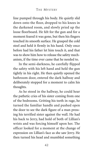line pumped through his body. He quietly slid down onto the floor, dropped to his knees in the darkened room, and slowly pried up the loose floorboard. He felt for the gun and for a moment feared it was gone, but then his fingers touched its smooth surface. He grasped the cold steel and held it firmly in his hand. Only once before had his father let him touch it, and that was to show him how to release the safety mechanism, if the time ever came that he needed to.

In the semi-darkness, he carefully flipped the safety with his left hand and held the gun tightly in his right. He then quietly opened the bathroom door, entered the dark hallway and deliberately stopped for a moment to calm his thoughts.

As he stood in the hallway, he could hear the pathetic cries of his sister coming from one of the bedrooms. Gritting his teeth in rage, he turned the familiar handle and pushed open the door to see the dark figure of a man pressing his terrified sister against the wall. He had his back to Jerry, had hold of both of Lillian's wrists and was forcing himself upon her. The officer looked for a moment at the change of expression on Lillian's face as she saw Jerry. He then turned his head and mumbled something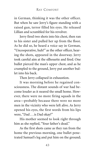in German, thinking it was the other officer. But when he saw Jerry's figure standing with a raised gun, terror filled his eyes. He released Lillian and scrambled for his revolver.

Jerry fired two shots into his chest, then ran to his sister and pulled her up from the floor. As he did so, he heard a voice say in German, "Uncooperative, huh?" as the other officer, hearing the shots, appeared in the doorway. Jerry took careful aim at the silhouette and fired. One bullet pierced the man's upper chest, and as he crumpled to the ground, Jerry put another bullet into his back.

Then Jerry collapsed in exhaustion.

It was morning before he regained consciousness. The distant sounds of war had become louder as it neared the small home. However, there were no more firing squads in the area—probably because there were no more men in the vicinity who were left alive. As Jerry opened his eyes, the first words from his lips were, "Dad . . . is Dad okay?"

His mother seemed to look right through him as she replied, "Your father's dead."

As the first shots came as they ran from the home the previous morning, one bullet penetrated Samuel's leg and put him on the ground;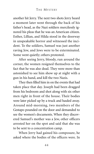another hit Jerry. The next two shots Jerry heard a moment later went through the back of his father's head, as the Nazi soldiers mercilessly ignored his pleas that he was an American citizen. Esther, Lillian, and Hilda stood in the doorway in unspeakable horror and witnessed the incident. To the soldiers, Samuel was just another raving Jew, and Jews were to be exterminated. Some went quietly; others protested.

After seeing Jerry, bloody, run around the corner, the women resigned themselves to the fact that he was also dead. They were more than astonished to see him show up at night with a gun in his hand, and kill the two Nazis.

They then filled him in on the events that had taken place that day. Joseph had been dragged from his bedroom and shot along with six other men right in front of the house. Their bodies were later picked up by a truck and hauled away. Around mid-morning, two members of the Gestapo pounded on the door and demanded to see the women's documents. When they discovered Samuel's mother was a Jew, other officers arrested her on the spot and said that she was to be sent to a concentration camp.

When Jerry had gained his composure, he asked where the bodies of the officers were. In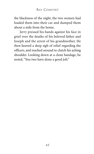the blackness of the night, the two women had loaded them into their car and dumped them about a mile from the home.

Jerry pressed his hands against his face in grief over the deaths of his beloved father and Joseph and the arrest of his grandmother. He then heaved a deep sigh of relief regarding the officers, and reached around to clutch his aching shoulder. Looking down at a clean bandage, he noted, "You two have done a good job."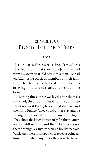## CHAPTER FOUR BLOOD, TOIL, AND TEARS

#### $\infty$

I T HAD BEEN three weeks since Samuel was killed, and in that short time Jerry matured from a sixteen-year-old boy into a man. He had to. After losing precious members of their family, he felt he needed to be strong to lead his grieving mother and sister, and he had to be brave.

During those three weeks, despite the risks involved, they took turns driving south into Hungary, west through occupied Austria, and then into France. They could either stay and be sitting ducks, or take their chances in flight. They chose the latter. Fortunately for them America was still neutral, and their documents got them through six tightly secured border patrols. While their hearts skipped with relief at being allowed through, many times they saw the heart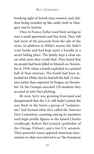breaking sight of Jewish men, women, and children being rounded up like cattle, both in Hungary and in Austria.

Once in France, Esther used their savings to rent a small apartment and buy food. They still had most of the proceeds from the sale of the store, in addition to Hilda's assets; she didn't trust banks and had kept quite a bundle in a secret hiding place. The family kept a close eye on what news they could find. They heard that six people had been killed in Munich on November 8, 1939, when a bomb exploded in a packed hall of Nazi veterans. The bomb had been intended for Hitler, but he had left the hall 15 minutes earlier than expected. In Prague, on November 24, the Gestapo executed 120 students they accused of anti-Nazi plotting.

By now, Jerry was growing frustrated and disappointed that the U.S. still hadn't joined the war. Back in the States a group of "isolationists" had formed what they called the America First Committee, counting among its members such high-profile figures as the famed Charles Lindbergh, Robert McCormick (publisher of the *Chicago Tribune*), and a few U.S. senators. Their powerful voices opposed American intervention in what was referred to as "the European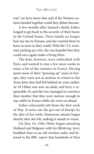war," yet Jerry knew that only if the Western nations banded together could they defeat fascism.

A few months after Samuel's death, Esther longed to get back to the security of their home in the United States. Their family no longer had any ties to Europe, and she wanted them to leave as soon as they could. With the U.S. economy picking up a bit, she was hopeful that they could once again make a living there.

The kids, however, were enthralled with Paris, and wanted to stay a few more weeks to enjoy a bit of the summer in France. Having spent most of their "growing up" years in Europe, they were not as anxious to return to the Texas farm they had left behind six years earlier. At 18 Lillian was now an adult, and Jerry a responsible 16, and the two managed to convince their mother that they were mature enough to stay safely in France while she went on ahead.

Esther reluctantly left them the first week of May. It turns out she got out of Europe by the skin of her teeth. Numerous attacks began shortly after she left, making it unsafe to travel.

On May 10, 1940, Hitler began attacking Holland and Belgium with his *Blitzkrieg*. Jerry huddled close to an old wireless radio and listened to the BBC report that hundreds of Nazi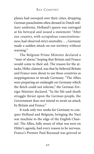planes had swooped over their cities, dropping German parachutists often dressed in Dutch military uniforms. Holland's queen was outraged at his betrayal and issued a statement: "After our country, with scrupulous conscientiousness, had observed strict neutrality. . ., Germany made a sudden attack on our territory without warning."

The Belgium Prime Minister declared a "state of alarm," hoping that Britain and France would come to their aid. The reason for the attacks, Hitler claimed, was that he believed Britain and France were about to use these countries as steppingstones to invade Germany. "The Allies were preparing an onslaught on Germany which the Reich could not tolerate," the German Foreign Minister declared. "In the life-and-death struggle thrust upon the German people, the Government does not intend to await an attack by Britain and France."

It took only two weeks for Germany to conquer Holland and Belgium, bringing the Nazi war machine to the edge of the English Channel. The Allies, fully aware of what was next on Hitler's agenda, had every reason to be nervous. France's Premier Paul Reynaud was grieved at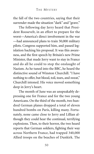the fall of the two countries, saying that their surrender made the situation "dark" and "grave."

The following day Jerry heard that President Roosevelt, in an effort to prepare for the worst—America's direct involvement in the war —had announced plans to train 50,000 military pilots. Congress supported him, and passed legislation backing his proposal. It was this awareness, and the first speech by Britain's new Prime Minister, that made Jerry want to stay in France and do all he could to stop the onslaught of Nazism. As he tuned into the BBC, he heard the distinctive sound of Winston Churchill. "I have nothing to offer, but blood, toil, tears, and sweat," Churchill intoned. His voice moved something deep in Jerry's heart.

The month of June was an unspeakably depressing one for France and for the two young Americans. On the third of the month, two hundred German planes dropped a total of eleven hundred bombs on Paris, killing many. Fortunately, none came close to Jerry and Lillian although they could hear the continual, terrifying explosions. Then, to their horror, the two heard reports that German soldiers, fighting their way across Northern France, had trapped 340,000 Allied troops on the beaches of Dunkirk. The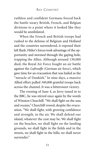ruthless and confident Germans forced back the battle-weary British, French, and Belgian divisions to a point where it looked like they would be annihilated.

When the French and British troops had rushed to the defense of Belgium and Holland and the countries surrendered, it exposed their left flank. Hitler's forces took advantage of the opportunity and stormed through the gaping hole, trapping the Allies. Although around 130,000 died, the Royal Air Force fought an air battle against the *Luftwaffe* (German air force), which gave time for an evacuation that was hailed as the "miracle of Dunkirk." In nine days, a massive Allied effort pulled 340,000 grateful troops back across the channel. It was a bittersweet victory.

The evening of June 4, as Jerry tuned in to the BBC, he was stirred once again by the words of Winston Churchill. "We shall fight on the seas and oceans," Churchill vowed, despite the evacuation. "We shall fight, with growing confidence and strength, in the air. We shall defend our island, whatever the cost may be. We shall fight on the beaches, we shall fight on the landing grounds, we shall fight in the fields and in the streets, we shall fight in the hills; we shall never surrender"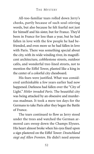All-too-familiar tears rolled down Jerry's cheeks, partly because of such soul-stirring words, but also because he felt fearful not just for himself and his sister, but for France. They'd been in France for less than a year, but he had fallen in love with the few people he had befriended, and even more so he had fallen in love with Paris. There was something special about the city, with its wide winding river, its magnificent architecture, cobblestone streets, outdoor cafés, and wonderful tree-lined streets, not to mention the Eiffel Tower, planted like a king in the center of a colorful city chessboard.

His fears were justified. What was considered unthinkable a few years earlier had now happened. Darkness had fallen over the "City of Light." *Hitler invaded Paris*. The beautiful city was being attacked by an obsessive and murderous madman. It took a mere ten days for the Germans to take Paris after they began the Battle of France.

The tears continued to flow as Jerry stood under the trees and watched the German armored cars sweep down the Champs Elysees. His heart almost broke when his eyes fixed upon a sign plastered on the Eiffel Tower: *Deutschland siegt auf Allen Fronten*. He didn't need anyone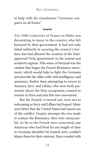to help with the translation: "Germany conquers on all fronts."

 $\infty$ 

THE 1940 SURRENDER of France to Hitler was devastating to many in the country, who felt betrayed by their government. It had not only failed militarily in securing the country's borders, but had allowed the creation of the Naziapproved Vichy government in the central and southern regions. This sense of betrayal was the catalyst that began the French Resistance movement, which would help to fight the Germans and provide the Allies with vital intelligence and assistance. Rather than attempting to return to America, Jerry and Lillian, who were both passionate about the Nazi occupation, wanted to remain in Paris and join this new movement.

But the French, it turned out, were not as welcoming as Jerry and Lillian had hoped. Many were bitter that the United States had stayed out of the conflict. Despite attempts the two made to contact the Resistance, they were unsuccessful. As far as the French were concerned, any American who had lived for any length of time in Germany shouldn't be trusted. Jerry couldn't blame them for their mistrust. Paris crawled with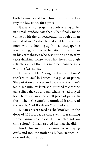both Germans and Frenchmen who would betray the Resistance for a price.

It was only after getting a job serving tables in a small outdoor cafe that Lillian finally made contact with the underground, through a man named Marc. As she cleared a table one afternoon, without looking up from a newspaper he was reading, he directed her attention to a man in his early thirties who was sitting at a nearby table drinking coffee. Marc had heard through reliable sources that this man had connections with the Resistance.

Lillian scribbled "Long live France . . . I *must* speak with you" in French on a piece of paper. She put it on a saucer and took it to the man's table. Ten minutes later, she returned to clear the table, lifted the cup and saw what she had prayed for. There was another small piece of paper. In the kitchen, she carefully unfolded it and read the words: "124 Bordeaux 7 p.m. Alone."

Lillian's heart raced as she knocked on the door of 124 Bordeaux that evening. A smiling woman answered and asked in French, "Did you come alone?" Lillian assured her that she did.

Inside, two men and a woman were playing cards and took no notice as Lillian stepped inside and shut the door.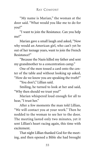"My name is Marian," the woman at the door said. "What would you like me to do for you?"

"I want to join the Resistance. Can you help me?"

Marian gave a small laugh and asked, "Now why would an American girl, who can't yet be out of her teenage years, want to join the French Resistance?"

"Because the Nazis killed my father and sent my grandmother to a concentration camp."

One of the men tossed a card onto the center of the table and without looking up asked, "How do we know you are speaking the truth?"

"You don't," Lillian said.

Smiling, he turned to look at her and said, "Why then should we trust you?"

Marian whispered loud enough for all to hear, "I trust her."

After a few moments the man told Lillian, "We will contact you at your work." Then he nodded to the woman to see her to the door. The meeting lasted only two minutes, yet it sent Lillian's heart racing again, this time with excitement.

That night Lillian thanked God for the meeting, and then opened a Bible she had brought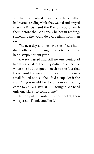with her from Poland. It was the Bible her father had started reading while they waited and prayed that the British and the French would reach them before the Germans. She began reading, something she would do every night from then on.

The next day, and the next, she lifted a hundred coffee cups looking for a note. Each time her disappointment grew.

A week passed and still no one contacted her. It was evident that they didn't trust her. Just when she had resigned herself to the fact that there would be no communication, she saw a small folded note as she lifted a cup. On it she read: "If you would like to join our card game, come to 73 La Havre at 7:30 tonight. We need only one player so come alone."

Lillian put the note into her pocket, then whispered, "Thank you, Lord."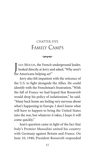# CHAPTER FIVE FAMILY CAMPS

 $\infty$ 

J EAN MOULIN, the French underground leader, looked directly at Jerry and asked,"Why aren't the Americans helping us?"

Jerry also felt impatient with the reticence of the U.S. to fight alongside the Allies. He could identify with the Frenchman's frustration. "With the fall of France we had hoped that Roosevelt would drop his policy of isolationism," he said. "Many back home are feeling very nervous about what's happening in Europe. I don't know what will have to happen to bring the United States into the war, but whatever it takes, I hope it will come quickly."

Jean's question came in light of the fact that Italy's Premier Mussolini united his country with Germany against Britain and France. On June 10, 1940, President Roosevelt responded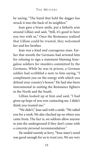by saying, "The hand that held the dagger has struck it into the back of its neighbor."

Jean gave a brave smile, put a fatherly arm around Lillian and said, "Still, it's good to have you two with us." Once the Resistance realized that Lillian could be trusted, they welcomed her and her brother.

Jean was a kind and courageous man. Earlier that month the Germans had arrested him for refusing to sign a statement blaming Senegalese soldiers for murders committed by the Germans. While he was in prison, a German soldier had scribbled a note to him saying, "I compliment you on the energy with which you defend your country's honor." He had also been instrumental in uniting the Resistance fighters in the North and the South.

Lillian looked up at him and said, "I had given up hope of you ever contacting me. I didn't think you trusted me."

"We didn't," Jean said with a smile."We tailed you for a week. We also checked up on where you came from. The fact is, we seldom allow anyone to join the underground if they don't come with a concrete *personal* recommendation."

He smiled warmly at Jerry."Your sister's word was good enough for us to trust you. We are very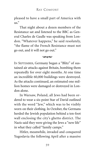pleased to have a small part of America with  $\overline{11S}$ ."

That night about a dozen members of the Resistance sat and listened to the BBC as General Charles de Gaulle was speaking from London. "Whatever happens," he said resolutely, "the flame of the French Resistance must not go out, and it will not go out."

### $\infty$

IN SEPTEMBER, Germany began a "Blitz" of sustained air attacks against Britain, bombing them repeatedly for over eight months. At one time an incredible 60,000 buildings were destroyed. As the attacks continued, an estimated one million homes were damaged or destroyed in London alone.

In Warsaw, Poland, all Jews had been ordered to wear a six-point Star of David outlined with the word "Jew," which was to be visibly worn on their clothing. In October, the Germans herded the Jewish population behind a ten-foot wall enclosing the city's ghetto district. The Nazis said they were giving the Jews a "new life" in what they called "family camps."

Hitler, meanwhile, invaded and conquered Yugoslavia the following April after a massive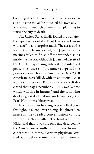bombing attack. Then in June, in what was seen as an insane move, he attacked his own ally— Russia—and encircled Leningrad, planning to starve the city to death.

The United States finally joined the war after the Japanese devastated Pearl Harbor in Hawaii with a 360-plane surprise attack. The aerial strike was extremely successful, but Japanese submarines failed to finish off the wounded ships inside the harbor. Although Japan had deceived the U.S. by expressing interest in continued peace, the success of the attack surprised the Japanese as much as the Americans. Over 2,400 Americans were killed, with an additional 1,300 wounded. President Franklin D. Roosevelt declared that day, December 7, 1941, was "a date which will live in infamy," and the following day Congress declared war on Japan. For Jerry, Pearl Harbor was bittersweet.

Jerry was also hearing reports that Jews throughout Europe were being slaughtered en masse in the dreaded concentration camps, something Nazis called "the final solution." Hitler said that it was the only fate deserved by the *Untermenschen*—the subhumans. In many concentration camps, German physicians carried out cruel experiments on their prisoners.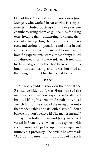One of these "doctors" was the notorious Josef Mengele, who worked in Auschwitz. His experiments included putting victims in pressure chambers, using them as guinea pigs for drug tests, freezing them, attempting to change their eye color by injecting chemicals into children's eyes, and various amputations and other brutal surgeries. Those who managed to survive his horrific experiments were almost always killed and dissected shortly afterward. Jerry feared that his beloved grandmother had been sent to this infamous death camp, and he was horrified at the thought of what had happened to her.

#### $\infty$

THERE WAS A sudden knock on the door at the Resistance hideout. It was Henri, one of the members, carrying a newspaper as he stepped inside. Lifting his arms in despair in typical French fashion, he slapped the newspaper onto the wooden table and said with disgust, "I don't believe it! I don't believe it! The man is insane!"

By now both Lillian and Jerry were well versed in French, even when it was spoken with such passion. Jean picked up the newspaper and muttered a profanity. The article he saw read: "At 3:00 this morning, thousands of French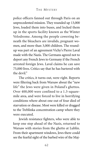police officers fanned out through Paris on an unprecedented mission. They rounded up 13,000 Jews, loaded them into buses, and locked them up in the sports facility known as the Winter Velodrome. Among the people cowering beneath the bleachers are invalids, pregnant women, and more than 3,000 children. The roundup was part of an agreement Vichy's Pierre Laval made with the Nazis. The Germans agreed not to deport any French Jews to Germany if the French arrested foreign Jews. Laval claims he can save 75,000 lives. Critics say that he has bartered with the devil."

The critics, it turns out, were right. Reports were filtering back from Warsaw about the "new life" the Jews were given in Poland's ghettos. Over 400,000 were confined to a 1.3-squaremile area, and were forced to live in horrifying conditions where about one out of four died of starvation or disease. Most were killed or dragged to the Treblinka concentration camp where they were executed.

Jewish resistance fighters, who were able to keep one step ahead of the Nazis, returned to Warsaw with stories from the ghetto at Lublin. From their apartment windows, Jews there could see the fearful sight of the barbed wire of the Maj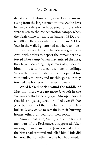danak concentration camp, as well as the smoke rising from the large crematoriums. As the Jews began to realize what happened to those who were taken to the concentration camps, when the Nazis came for more in January 1943, over 60,000 ghetto residents resisted them. Yet the Jews in the walled ghetto had nowhere to hide.

SS troops attacked the Warsaw ghetto in April with orders to deport the remainder to a forced labor camp. When they entered the area, they began searching it systematically, block by block, house to house, basement to ceiling. When there was resistance, the SS opened fire with tanks, mortars, and machineguns, or they torched the homes with flame-throwers.

Word leaked back around the middle of May that there were no more Jews left in the Warsaw ghetto. General Jurgen Stroop reported that his troops captured or killed over 55,000 Jews, but not all of that number died from Nazi bullets. Many chose to remain in their burning homes; others jumped from their roofs.

Around that time, Andre, one of the trusted members of the Resistance, disappeared. After making extensive inquiries, Jean concluded that the Nazis had captured and killed him. Little did he know that something worse had happened.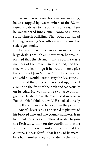As Andre was leaving his home one morning, he was stopped by two members of the SS, arrested and driven to the outskirts of Paris. There he was ushered into a small room of a large, stone church building. The room contained two high-ranking Nazi officers and the smell of stale cigar smoke.

He was ordered to sit in a chair in front of a large desk. Through an interpreter, he was informed that the Germans had proof he was a member of the French Underground, and that they would let him go if he would merely give the address of Jean Moulin. Andre forced a smile and said he would *never* betray the Resistance.

One of the officers then stood up, walked around to the front of the desk and sat casually on its edge. He was holding two large photographs. He glanced at them and said in broken French, "Oh, I think you will." He looked directly at the Frenchman and handed him the prints.

Andre's heart sank as he stared at pictures of his beloved wife and two young daughters. Jean had bent the rules and allowed Andre to join the Resistance only on the condition that he would send his wife and children out of the country. He was fearful that if any of its members had families, they would die by the hands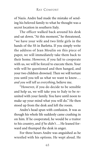of Nazis. Andre had made the mistake of sending his beloved family to what he thought was a secret location in southern Italy.

The officer walked back around his desk and sat down. "At this moment," he threatened, "we have your wife and two little girls in the hands of the SS in Barletta. If you simply write the address of Jean Moulin on this piece of paper, we will immediately take them back to their home. However, if you fail to cooperate with us, we will be forced to execute them. Your wife will be questioned and then hanged, and your two children drowned. Then we will torture you until you tell us what we want to know. . . *and you will tell us everything*, believe me.

"However, if you do decide to be sensible and help us, we will take you to Italy to be reunited with your family. You have until noon to make up your mind what you will do." He then stood up from the desk and left the room.

Andre's head spun with confusion. It was as though his whole life suddenly came crashing in on him. If he cooperated, he would be a traitor to his country, and *if he didn't*. . . He leaned forward and thumped the desk in anger.

For three hours Andre was anguished as he wrestled with his options. He wept aloud. He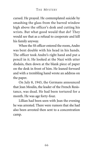cursed. He prayed. He contemplated suicide by smashing the glass from the barred window high above the officer's desk and cutting his wrists. But what good would that do? They would see that as a refusal to cooperate and kill his family anyway.

When the SS officer entered the room, Andre was bent double with his head in his hands. The officer took Andre's right hand and put a pencil in it. He looked at the Nazi with utter disdain, then down at the blank piece of paper on the desk in front of him. He leaned forward and with a trembling hand wrote an address on the paper.

On July 8, 1943, the Germans announced that Jean Moulin, the leader of the French Resistance, was dead. He had been tortured for a month. He was age forty-four.

Lillian had been seen with Jean the evening he was arrested. There were rumors that she had also been arrested then sent to a concentration camp.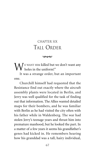# CHAPTER SIX TALL ORDER

 $\infty$ 

 $\mathbf{W}^{\text{\tiny{E}WMNT HIM}}$  killed but we don't want any

It was a strange order, but an important one.

Churchill himself had requested that the Resistance find out exactly where the aircraft assembly plants were located in Berlin, and Jerry was well qualified for the task of finding out that information. The Allies wanted detailed maps for their bombers, and he was familiar with Berlin as he had visited the city often with his father while in Waldenberg. The war had stolen Jerry's teenage years and thrust him into premature manhood, but he looked the part. In a matter of a few years it seems his grandfather's genes had kicked in. He remembers hearing how his granddad was a tall, hairy individual,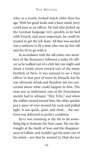who, as a youth, looked much older than his age. With his good looks and a keen mind, Jerry could pass as an officer. He had also picked up the German language very quickly, as he had with French, and most important, he could be trusted to get the job done. All that was needed was a uniform to fit a man who was six feet tall and the ID to go with it.

In accordance with the tall order, two members of the Resistance followed a lanky SS officer as he walked out of a club late one night and down a lonely street toward one of the many brothels of Paris. It was unusual to see a Nazi officer in that part of town by himself, but he was obviously drunk and therefore not too concerned about what could happen to him. The man was so inebriated, one of the Frenchmen merely had to whisper, "Hey, Fritz," and when the soldier turned toward him, the other quickly put a piece of wire around his neck and pulled tight. It was quick, quiet, and clean...the uniform was delivered in perfect condition.

Jerry was straining at the bit to do something big to frustrate the Nazi cause. He was distraught at the death of Jean and the disappearance of Lillian, and couldn't get his sister out of his mind—not that he wanted to. Had she too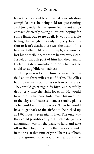been killed, or sent to a dreaded concentration camp? Or was she being held for questioning and tortured? He had gone from contact to contact, discreetly asking questions hoping for some light, but to no avail. It was a horrible feeling that weighed heavily on Jerry. In addition to Jean's death, there was the death of his beloved father, Hilda, and Joseph, and now he lost his only sibling, to whom he was very close. He felt as though part of him had died, and it fueled his determination to do whatever he could to stop Hitler's madness.

The plan was to drop him by parachute in a field about three miles east of Berlin. The Allies had flown many bombing raids over the area. They would go at night, fly high, and carefully drop Jerry into the right location. He would have to bury his parachute, make his own way to the city, and locate as many assembly plants as he could within one week. Then he would have to get back to the airfield to be picked up at 1900 hours, seven nights later. The only way they could possibly carry out such a dangerous assignment was for the plane to land and take off in thick fog, something that was a certainty in the area at that time of year. The risks of both air and ground travel would be great, but if he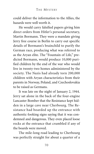could deliver the information to the Allies, the hazards were well worth it.

He would carry falsified papers giving him direct orders from Hitler's personal secretary, Martin Bormann. They were a mandate giving Jerry free course in Berlin to carry out specific details of Bormann's brainchild to purify the German race, producing what was referred to as the Aryan elite. The "Fountain of Life," predicted Bormann, would produce 10,000 purified children by the end of the war who would live in twenty-two homes administered by the society. The Nazis had already torn 200,000 children with Aryan characteristics from their parents in Norway, Poland, and Czechoslovakia to be raised as Germans.

It was late on the night of January 2, 1944. Jerry sat alone in the back of the four-engine Lancaster Bomber that the Resistance kept hidden in a large cave near Cherbourg. The Resistance had boarded up the entrance with authentic-looking signs saying that it was condemned and dangerous. They even placed loose rocks at the entrance that crumbled if any of the boards were moved.

The mile-long road leading to Cherbourg was perfectly straight for about a quarter of a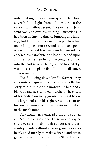mile, making an ideal runway, and the cloud cover hid the light from a full moon, so the takeoff was without event. Once in the air, Jerry went over and over his training instructions. It had been an intense time of jumping and landing, but the sheer volume of repetition had made jumping almost second nature to a point where his natural fears were under control. He checked his parachute one last time, and upon a signal from a member of the crew, he jumped into the darkness of the night and looked skyward to see the plane fly off into the distance. He was on his own.

The following day, a kindly farmer Jerry encountered agreed to drive him into Berlin. Jerry told him that his motorbike had had a blowout and lay crumpled in a ditch. The effects of his landing on rocky ground the night before —a large bruise on his right wrist and a cut on his forehead—seemed to authenticate his story in the man's mind.

That night, Jerry entered a bar and spotted an SS officer sitting alone. There was no way he could even remotely inquire about aircraft assembly plants without arousing suspicion, so he planned merely to make a friend and try to gauge the man's loyalties to the State. He had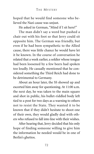hoped that he would find someone who believed the Nazi cause was unjust.

He asked in German, "Mind if I sit here?"

The man didn't say a word but pushed a chair out with his foot so that Jerry could sit opposite him. The German was friendly, but even if he had been sympathetic to the Allied cause, there was little chance he would have let it be known. In the course of conversation he related that a week earlier, a soldier whose tongue had been loosened by a few beers had spoken too loudly. He casually mentioned that he considered something the Third Reich had done to be detrimental to Germany.

About an hour later, the SS showed up and escorted him away for questioning. At 11:00 a.m. the next day, he was taken to the main square and shot in public, his bullet-riddled body left tied to a post for two days as a warning to others not to resist the State. They wanted it to be known that if they didn't hesitate to shoot one of their own, they would gladly deal with others who refused to fall into line with their wishes.

After hearing that, Jerry decided that his only hope of finding someone willing to give him the information he needed would be in one of Berlin's ghettos.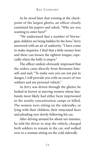As he stood later that evening at the checkpoint of the largest ghetto, an officer closely examined his papers and asked, "Why are you wanting to enter here?"

"We understand that a number of Norwegian children are being hidden by the Jews," Jerry answered with an air of authority. "I have come to make inquiries. I find that a little money here and there can loosen the tightest tongue, especially when the belly is empty."

The officer smiled, obviously impressed that the orders came directly from Bormann himself, and said, "To make sure you are not put in danger, I will provide you with an escort of two soldiers and my personal vehicle."

As Jerry was driven through the ghetto, he looked in horror at starving women whose husbands most likely had either been imprisoned in the nearby concentration camps or killed. The women were sitting on the sidewalks, or lying with their children, their emaciated faces and pleading eyes slowly following his car.

After driving around for about ten minutes, he told the driver to stop the vehicle, charged both soldiers to remain in the car, and walked over to a woman sitting on the cold sidewalk.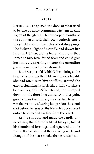#### بممحه

RACHEL SLOWLY opened the door of what used to be one of many communal kitchens in that region of the ghetto. The wide-open mouths of the cupboards told their own pathetic story. They held nothing but piles of rat droppings. The flickering light of a candle had drawn her into the kitchen, giving her a faint hope that someone may have found food and could give her some . . . anything to stop the unending gnawing in the pit of her stomach.

But it was just old Rabbi Cohen, sitting at the large table reading the Bible in dim candlelight. She had often seen him shuffling around the ghetto, clutching his Bible like a child clutches a beloved rag doll. Disheartened, she slumped down on the floor in a corner. Another pain, greater than the hunger, gripped her heart. It was the memory of seeing her precious husband shot before her eyes by the Nazis, his body tossed onto a truck bed like refuse from the streets.

As the sun rose and made the candle unnecessary, the old rabbi lifted his eyes, licked his thumb and forefinger and squeezed out the flame. Rachel stared at the smoking wick, and thought of the black smoke that ascended con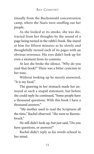tinually from the Buchenwald concentration camp, where the Nazis were snuffing out her people.

As she looked at its smoke, she was distracted from her thoughts by the sound of a page being turned in the rabbi's book. She stared at him for fifteen minutes as he slowly and thoughtfully turned each of its pages with an obvious reverence. His eyes didn't look up for even a moment from its contents.

At last she broke the silence. "Why do you read that book?" There was a bitter cynicism in her tone.

Without looking up he merely answered, "It is my food."

The gnawing in her stomach made her annoyed at such a stupid statement, but before she could reply he continued, "Some people have a thousand questions. With this book I have a thousand answers."

"My mother used to read the Scriptures all the time," Rachel observed. "*She* went to Ravensbruck."

He still didn't look up, but just said, "Do you have questions, or answers?"

Rachel didn't reply as his words echoed in her mind.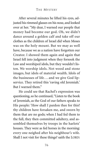After several minutes he lifted his eyes, adjusted his rimmed glasses on his nose, and looked over at her. "My dear, I warned our people that money had become our god. Oh, we didn't dance around a golden calf and take off our clothes as the children of Israel did when Moses was on the holy mount. But we may as well have, because we as a nation have forgotten our Creator. I showed them again and again that Israel fell into judgment when they forsook the Law and worshiped idols, but they wouldn't listen. We worship idols. Not wood and stone images, but idols of material wealth. Idols of the businesses of life... and we give God lipservice. They retired this 'raving old Jeremiah.' But I warned them."

He could see that Rachel's expression was questioning, so he continued,"Listen to the book of Jeremiah, as the God of our fathers speaks to His people: 'How shall I pardon thee for this? thy children have forsaken me, and sworn by them that are no gods; when I had fed them to the full, they then committed adultery, and assembled themselves by troops in the harlots' houses. They were as fed horses in the morning: every one neighed after his neighbour's wife. Shall I not visit for these things? saith the LORD: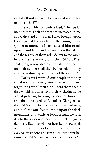and shall not my soul be avenged on such a nation as this?'"

The old rabbi somberly added, "Then judgment came: 'Their widows are increased to me above the sand of the seas: I have brought upon them against the mother of the young men a spoiler at noonday: I have caused him to fall upon it suddenly, and terrors upon the city. . . and the residue of them will I deliver to the sword before their enemies, saith the LORD. . . They shall die grievous deaths; they shall not be lamented; neither shall they be buried; but they shall be as dung upon the face of the earth...'

"For years I warned our people that they could not love money, commit sexual sins, and forget the Law of their God. I told them that if they would not turn from their wickedness, He would judge us, to bring us back to Himself. I read them the words of Jeremiah: 'Give glory to the LORD your God, before he cause darkness, and before your feet stumble upon the dark mountains, and, while ye look for light, he turn it into the shadow of death, and make it gross darkness. But if ye will not hear it, my soul shall weep in secret places for your pride; and mine eye shall weep sore, and run down with tears, because the LORD's flock is carried away captive.'"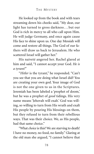He looked up from the book and with tears streaming down his cheeks said, "My dear, our light has turned to gross darkness...but our God is rich in mercy to all who call upon Him. He will judge Germany, and once again cause His face to shine upon us. One day Messiah will come and restore all things. The God of our fathers will draw us back to Jerusalem. He who scattered Israel will gather her."

His naiveté angered her. Rachel glared at him and said, "I cannot accept your God. *He is a tyrant!*"

"*Hitler* is the tyrant," he responded. "Can't you see that you are doing what Israel did? You are creating your own god. Your image of God is not the one given to us in the Scriptures. Jeremiah has been labeled a 'prophet of doom,' but he was a prophet of *good* tidings. His very name means 'Jehovah will exalt.' God was willing, so willing to turn from His wrath and exalt His people by pouring His blessings on them, but they refused to turn from their rebellious ways. That was their choice. We, as His people, had that same choice."

"What *choice* is this? We are starving to death! I have no money, no food, no family." Glaring at the old man she argued, "I cannot believe that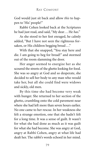God would just sit back and allow *this* to happen to 'His' people!"

Rabbi Cohen looked back at the Scriptures he had just read, and said, "My dear. . . He *has*."

As she stood to her feet enraged, he calmly added, "But I have not seen the righteous forsaken, or His children begging bread ..."

With that she snapped, "You stay here and die. I am going to beg for bread!" and stormed out of the room slamming the door.

Her anger seemed to energize her as she scoured the streets of the ghetto looking for food. She was so angry at God and so desperate, she decided to sell her body to any man who would take her, but all she could find were widows and sickly, old men.

By this time she had become very weak with hunger. She returned to her section of the ghetto, crumbling onto the cold pavement near where she had left more than seven hours earlier. No one came to her rescue. In her weakness she felt a strange emotion, one that she hadn't felt for a long time. It was a sense of guilt. It wasn't for what she had done as much as it was guilt for what she had become. She was angry at God, angry at Rabbi Cohen, angry at what life had dealt her. The rabbi's words echoed in her mind.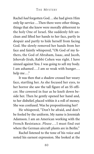Rachel *had* forgotten God. . . she had given Him only lip-service . . .Then there were other things, things that she knew were morally abhorrent to the holy One of Israel. She suddenly felt unclean and lifted her hands to her face, partly in despair and partly to hide herself from facing God. She slowly removed her hands from her face and faintly whispered, "Oh God of my fathers, the God of Abraham, Isaac, and Jacob, Jehovah-Jirah, Rabbi Cohen was right. I have sinned against You. I was going to sell my body. I am ashamed ... I am so weak with hunger... help me..."

It was then that a shadow crossed her weary face, startling her. As she focused her eyes, to her horror she saw the tall figure of an SS officer. She cowered in fear as he knelt down beside her. Then he gently opened her hand and, to her disbelief, placed within it a roll of money. She was confused. Was he propositioning her?

He whispered, "Don't be afraid, and don't be fooled by the uniform. My name is Jeremiah Adamson. I am an American working with the French Resistance. *Please*. . . I must find out where the German aircraft plants are in Berlin."

Rachel listened to the tone of his voice and noted his earnest expression. She looked at the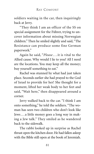soldiers waiting in the car, then inquiringly back at Jerry.

"They think I am an officer of the SS on special assignment for the Führer, trying to uncover information about missing Norwegian children." Then he smiled slightly and said, "The Resistance can produce some fine German paperwork."

Again he said, "*Please*. . . it is vital to the Allied cause. Why would I lie to you? All I need are the locations. You may keep all the money; buy yourself something to eat."

Rachel was stunned by what had just taken place. Seconds earlier she had prayed to the God of Israel to provide for her! She thought for a moment, lifted her weak body to her feet and said, "Wait here," then disappeared around a corner.

Jerry walked back to the car. "I think I am onto something," he told the soldiers. "The woman has seen two children who don't look like Jews . . . a little money goes a long way in making a Jew talk." They smiled as he wandered back to the sidewalk.

The rabbi looked up in surprise as Rachel thrust open the kitchen door. He had fallen asleep with the Bible still open at the book of Jeremiah.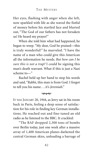Her eyes, flashing with anger when she left, now sparkled with life as she waved the fistful of money before his startled face and blurted out, "The God of our fathers has not forsaken us! He heard my prayer!"

When she told him what had happened, he began to weep. "My dear, God be praised—this is truly wonderful!" he marveled. "I have the name of a man who could give this American all the information he needs. *But how can I be sure this is not a trap?* I could be signing this man's death warrant. What if this is just a Nazi scheme to—"

Rachel held up her hand to stop his words and said, "Rabbi, this man is from God. I forgot to tell you his name . . . it's *Jeremiah*."

### $\infty$

IT WAS JANUARY 20, 1944, as Jerry sat in his room back in Paris, feeling a deep sense of satisfaction for his role in finding key German installations. He reached out and fine-tuned an old radio as he listened to the BBC. It crackled:

"The RAF dropped 2,300 tons of bombs over Berlin today, just one week after a massive array of 1,400 American planes darkened the central German skies, unloading a barrage of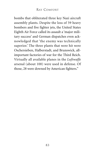bombs that obliterated three key Nazi aircraft assembly plants. Despite the loss of 59 heavy bombers and five fighter jets, the United States Eighth Air Force called its assault a 'major military success' and German dispatches even acknowledged that 'the enemy was technically superior.' The three plants that were hit were Oschersieben, Halberstadt, and Brunswick, allimportant factories of war for the Third Reich. Virtually all available planes in the *Luftwaffe* arsenal (about 100) were used in defense. Of those, 28 were downed by American fighters."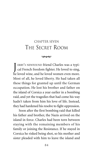# CHAPTER SEVEN THE SECRET ROOM

 $\infty$ 

J ERRY'S NEWFOUND friend Charles was a typi-cal French freedom fighter. He loved to sing, he loved wine, and he loved women even more. Most of all, he loved liberty. He had taken all these things for granted up until the German occupation. He lost his brother and father on the island of Corsica a year earlier in a bombing raid, and yet the tragedies that had come his way hadn't taken from him his love of life. Instead, they had hardened his resolve to fight oppression.

Soon after the first bombing raid that killed his father and brother, the Nazis arrived on the island in force. Charles had been torn between staying with the remaining members of his family or joining the Resistance. If he stayed in Corsica he risked being shot, so his mother and sister pleaded with him to leave the island and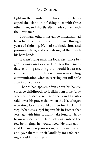fight on the mainland for his country. He escaped the island in a fishing boat with three other men, and shortly after made contact with the Resistance.

Like many others, this gentle fisherman had been hardened to the realities of war through years of fighting. He had stabbed, shot, and poisoned Nazis, and even strangled them with his bare hands.

It wasn't long until the local Resistance began its work on Corsica. They saw their mandate as doing anything that would frustrate, confuse, or hinder the enemy—from cutting communication wires to carrying out full-scale attacks on convoys.

Charles had spoken often about his happy, carefree childhood, so it didn't surprise Jerry when he decided to return to the island. Charles said it was his prayer that when the Nazis began retreating, Corsica would be their first backward step. What was surprising was his insistence that Jerry go with him. It didn't take long for Jerry to make a decision. He quickly assembled the few belongings he would need. He then gathered Lillian's few possessions, put them in a box and gave them to their landlady for safekeeping, should Lillian return.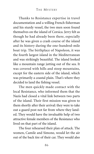Thanks to Resistance expertise in travel documentation and a willing French fisherman and his sturdy vessel, the two men soon found themselves on the island of Corsica. Jerry felt as though he had already been there, especially after he was given a crash course of the island and its history during the one-hundred-mile boat trip. The birthplace of Napoleon, it was the fourth largest island in the Mediterranean and was strikingly beautiful. The island looked like a mountain range jutting out of the sea. It was covered with hills and steep mountains, except for the eastern side of the island, which was primarily a coastal plain. That's where they decided to land the fishing vessel.

The men quickly made contact with the local Resistance, who informed them that the Nazis had closed a vital link between two parts of the island. Their first mission was given to them shortly after their arrival: they were to take out a guard post not far from where they landed. They would have the invaluable help of two attractive female members of the Resistance who lived on that part of the island.

The four rehearsed their plan of attack. The women, Camile and Simone, would let the air out of the back tire of their car. They would also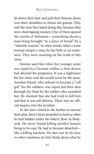let down their hair and pull their blouses down over their shoulders to attract the guards. They told the men they hated doing this, because they were churchgoing women. One of them quoted the words of Solomon—something about a man being brought "to a piece of bread" by a "whorish woman." In other words, when a loose woman tempts a man, he has little or no resistance. They were counting on the truth of this verse.

Simone said that when her younger sister was raped by a German soldier, a Nazi doctor had aborted the pregnancy. It was a nightmare for her sister, and she would never be the same. Another friend, who refused to become a "call girl" for the soldiers, was raped and then shot through the head by the soldier who assaulted her. He claimed that she had tried to kill him and that it was self-defense. There was no official inquiry into the incident.

As the men waited in the bushes to execute their plan, Jerry's heart pounded as hard as when he had hidden under the bakery floor in Bialystok. He never found killing another human being to be easy. He had to become detached like a killing machine. He dare not let his fear, or other emotions, let him think about what he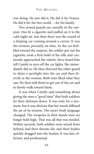was doing. He just did it. He did it for France. He did it for the free world . . . for his family.

Two armed guards sat casually in the outpost. One lit a cigarette and puffed on it in the cold night air. Just then there was the sound of a limping car coming around a corner. It was the women, precisely on time. As the car hobbled toward the outpost, the soldier put out his cigarette, took a firm hold of his rifle and cautiously approached the vehicle. Jerry heard him tell Camile to turn off the car lights. She immediately did so. He then directed the other guard to shine a spotlight into the car and then directly at the women. Both men liked what they saw. He then told them to get out of the car and to slowly walk toward them.

It was when Camile said something about giving the men a "good time" that both soldiers let their defenses down. It was only for a moment, but it was obvious that her words diffused the air of its tension. The men's body language changed. The weapons in their hands were no longer held high. That was all that was needed. Within seconds, both soldiers were seized from behind, had their throats slit, and their bodies quickly dragged into the bushes. It was fast, efficient, and professional.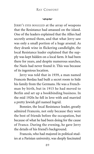# RAY COMFORT

#### $\infty$

JERRY'S EYES BOGGLED at the array of weapons that the Resistance had amassed on the island. One of the leaders explained that the Allies had secretly armed them, and that what Jerry saw was only a small portion of a huge arsenal. As they drank wine in flickering candlelight, the local Resistance leader explained that the supply was kept hidden on a local farm. It had been there for years, and despite numerous searches, the Nazis had never found it. This was because of its ingenious location.

Jerry was told that in 1939, a man named Francois Berdau had built a secret room to hide his family from the Germans. He was a Frenchman by birth, but in 1915 he had moved to Berlin and set up a bookbinding business. In the mid 1920s he fell in love with and married a pretty Jewish girl named Ingrid.

Bonnier, the local Resistance leader, greatly admired Francois, not only because they were the best of friends before the occupation, but because of what he had been doing for the cause of France. During the evening, he gave Jerry the details of his friend's background.

Francois, who had majored in political studies at a Parisian university, was deeply fascinated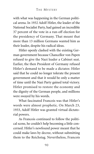with what was happening in the German political arena. In 1932 Adolf Hitler, the leader of the National Socialist Party, had gained an incredible 37 percent of the vote in a run-off election for the presidency of Germany. That meant that more than 13 million Germans wanted him as their leader, despite his radical ideas.

Hitler openly clashed with the existing German government because Chancellor von Papen refused to give the Nazi leader a Cabinet seat. Earlier, the then President of Germany refused Hitler's demand to be made a dictator. Hitler said that he could no longer tolerate the present government and that it would be only a matter of time until the Nazi Party gained total victory. Hitler promised to restore the economy and the dignity of the German people, and millions were swayed by his words.

What fascinated Francois was that Hitler's words were almost prophetic. On March 23, 1933, Adolf Hitler was granted virtual dictatorial powers.

As Francois continued to follow the political scene, he couldn't help becoming a little concerned. Hitler's newfound power meant that he could make laws by decree, without submitting them to the Reichstag. Nevertheless, Francois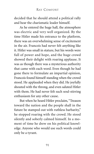decided that he should attend a political rally and hear the charismatic leader himself.

As he entered the huge hall, the atmosphere was electric and very well organized. By the time Hitler made his entrance to the platform, there was an overwhelming sense of excitement in the air. Francois had never felt anything like it. Hitler was small in stature, but his words were full of power and hope, and the huge crowd showed their delight with roaring applause. It was as though there was a mysterious authority that came with each word. Even though he had gone there to formulate an impartial opinion, Francois found himself standing when the crowd stood. He applauded when they did. He joyfully shouted with the throng, and even saluted Hitler with them. He had never felt such soul-stirring enthusiasm for any other cause.

But when he heard Hitler proclaim,"Treason toward the nation and the people shall in the future be stamped out with ruthless barbarity," he stopped roaring with the crowd. He stood silently and soberly calmed himself. In a moment of time he drew on his political knowledge. Anyone who would use such words could only be a tyrant.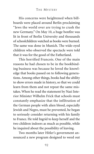His concerns were heightened when billboards were placed around Berlin proclaiming "Jews the world over are trying to crash the new Germany." On May 10, a huge bonfire was lit in front of Berlin University and thousands of schoolchildren watched as books were burned. The same was done in Munich. The wide-eyed children who observed the spectacle were told that it was for the good of the Fatherland.

This horrified Francois. One of the main reasons he had chosen to be in the bookbinding business was because he loved the knowledge that books passed on to following generations. Among other things, books had the ability to show errors made in history, so that we could learn from them and not repeat the same mistakes. When he read the statement by Nazi Interior Minister Wilhelm Frick that schools must constantly emphasize that the infiltration of the German people with alien blood, especially Jewish and Negro, must be prevented, he began to seriously consider returning with his family to France. He told Ingrid to keep herself and the two children indoors as much as possible, while he inquired about the possibility of leaving.

Two months later Hitler's government announced a new program designed to weed out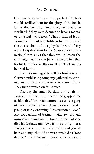Germans who were less than perfect. Doctors would sterilize them for the glory of the Reich. Under the new law, men and women would be sterilized if they were deemed to have a mental or physical "weakness." That clinched it for Francois. One of his children had polio, and the disease had left her physically weak. Very weak. Despite claims by the Nazis (under international pressure) that they would lessen the campaign against the Jews, Francois felt that for his family's sake, they must quickly leave his beloved Berlin.

Francois managed to sell his business to a German publishing company, gathered his earnings and his family, and took a fast train to Paris. They then traveled on to Corsica.

The day the small Berdau family left for France, they heard that terror had gripped the fashionable Kurfurstendamm district as a gang of two hundred angry Nazis viciously beat a group of Jews, screaming, "Destruction to Jews!" Any cooperation of Germans with Jews brought immediate punishment. Towns in the Cologne district forbade any Jews from settling there. Barbers were not even allowed to cut Jewish hair, and any who did so were arrested as "race defilers." If any Germans became romantically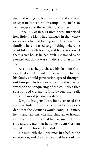involved with Jews, both were arrested and sent to separate concentration camps—the males to Lichtenberg and the females to Moringen.

Once in Corsica, Francois was surprised how little the island had changed in the twenty or so years he had been gone. He showed his family where he used to go fishing, where he went hiking with friends, and he even showed them a tree house he had built. He smiled as he pointed out that it was still there . . . after all the years.

As soon as he purchased his farm on Corsica, he decided to build the secret room to hide his family should persecution spread throughout Europe. His fears were soon realized as he watched the conquering of the countries that surrounded Germany. One by one they fell, while the world passively watched.

Despite his provision, he never used the room to hide his family. When it became evident that the Germans would conquer France, he instead sent his wife and children to friends in Britain, deciding that his German citizenship and the fact that he spoke fluent German would ensure his safety. It did.

He met with the Resistance just before the occupation, and they decided that he should be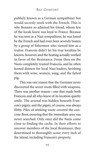publicly known as a German sympathizer but would secretly work with the French. This is why Bonnier so admired his friend, whom few of the locals knew was loyal to France. Because he was seen as a Nazi sympathizer, he was hated by the French and had even been severely beaten by a group of fishermen who viewed him as a traitor. Francois didn't let his true loyalties be known, however, and the beating actually worked in favor of the Resistance. From then on the Nazis completely trusted Francois, and he often hosted dinners for local Nazi leaders, lavishing them with wine, women, song, and the fatted pig.

This was one reason that the Germans never discovered the secret room filled with weapons. There was another reason—one that made both Francois and all who knew of its location quietly smile. The arsenal was hidden beneath Francois's pigsty, and the pigsty, of course, was always filthy. Piles of stinking waste covered the concrete floor, ensuring that the immediate area was never searched. Only once did the Nazis come close to finding the cache. In their efforts to uncover members of the local Resistance, they determined to thoroughly scour every inch of the island, including Francois's property.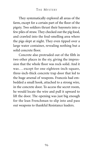They systematically explored all areas of the farm, except for a certain part of the floor of the pigsty. Two soldiers thrust their bayonets into a few piles of straw. They checked out the pig food, and crawled into the foul-smelling area where the pigs slept at night. They even tipped over a large water container, revealing nothing but a solid concrete floor.

Concrete also protruded out of the filth in two other places in the sty, giving the impression that the whole floor was rock-solid. And it was . . . except for one eighteen-inch-square, three-inch-thick concrete trap door that led to the huge arsenal of weapons. Francois had embedded a small hook, attached to a strong wire, in the concrete door. To access the secret room, he would locate the wire and pull it upward to lift the door. The opening was just big enough for the lean Frenchman to slip into and pass out weapons to thankful Resistance leaders.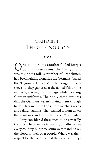# CHAPTER EIGHT THERE IS NO GOD

 $\infty$ 

NE THING AFTER another fueled Jerry's burning rage against the Nazis, and it was taking its toll. A number of Frenchmen had been fighting alongside the Germans. Called the "Legion of French Volunteers Against Bolshevism," they gathered at the famed Velodrome in Paris, waving French flags while wearing German uniforms. Their only complaint was that the Germans weren't giving them enough to do. They were tired of simply watching roads and railway stations. They wanted to hunt down the Resistance and those they called "terrorists."

Jerry considered these men to be cowardly traitors. There were German sympathizers in every country, but these scum were standing on the blood of their own people. Where was their respect for the sacrifice that their own country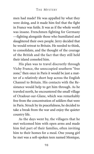men had made? He was appalled by what they were doing, and it made him feel that the fight in France was futile. It was as if the whole world was insane. Frenchmen fighting for Germany —fighting alongside those who humiliated and slaughtered their own people. Jerry decided that he would retreat to Britain. He needed to think, to consolidate, and the thought of the courage of the British and the fact that they still held their island consoled him.

His plan was to travel discreetly through Vichy France, the unoccupied southern "free zone," then once in Paris it would be just a matter of a relatively short hop across the English Channel to Britain. His contacts with the Resistance would help to get him through. As he traveled north, he encountered the small village of Oradour-sur-Glane, which was remarkably free from the concentration of soldiers that were in Paris. Struck by its peacefulness, he decided to take a break from the war and enjoy the quieter country life.

As the days went by, the villagers that he met welcomed him with open arms and made him feel part of their families, often inviting him to their homes for a meal. One young girl he met was a soft-spoken teen named Monique,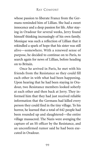whose passion to liberate France from the Germans reminded him of Lillian. She had a sweet innocence and a deep passion for life. After staying in Oradour for several weeks, Jerry found himself thinking increasingly of his own family. Monique was such a reflection of Lillian that it rekindled a spark of hope that his sister was still alive—somewhere. With a renewed sense of purpose, he decided to continue on to Paris, to search again for news of Lillian, before heading on to Britain.

Once he arrived in Paris, he met with his friends from the Resistance so they could fill each other in with what had been happening. Upon hearing that he had been staying in Oradour, two Resistance members looked soberly at each other and then back at Jerry. They informed him that they had just received reliable information that the Germans had killed every person they could find in the tiny village. To his horror, he learned that a total of 642 people had been rounded up and slaughtered—the entire village massacred. The Nazis were avenging the capture of an SS officer by the Resistance, and an unconfirmed rumor said he had been executed in Oradour.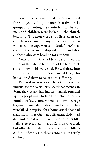A witness explained that the SS encircled the village, dividing the men into five or six groups and herding them into barns. The women and children were locked in the church building. The men were shot first, then the church was set on fire. Any women and children who tried to escape were shot dead. At 6:00 that evening the Germans stopped a train and shot all those who were heading for Oradour.

News of this sickened Jerry beyond words. It was as though the bitterness of life had struck a deathblow to his very soul. He withdrew into a deep anger both at the Nazis and at God, who had allowed them to cause such suffering.

Reprisal massacres such as this were not unusual for the Nazis. Jerry heard that recently in Rome the Gestapo had indiscriminately rounded up 335 people—including two Italian priests, a number of Jews, some women, and two teenage boys—and mercilessly shot them to death. They were killed in reprisal for a bomb attack that had slain thirty-three German policemen. Hitler had demanded that within twenty-four hours fifty Italians be executed for each German who died, but officials in Italy reduced the ratio. Hitler's cold-bloodedness in these atrocities was truly chilling.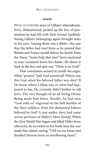# RAY COMFORT

#### $\infty$

WITH NO FURTHER news of Lillian's whereabouts, Jerry, disheartened, picked up the box of possessions he had left with their former landlady. Seeing Lillian's belongings again brought tears to his eyes. Among them was a Bible—the one that his father had read from as he prayed that Britain and France would deliver his family from the Nazis. "Some help that was!" Jerry muttered as tears streamed down his cheeks. He threw it back in the box and spat out, "There is no God!"

That conclusion seemed to justify his anger. What "prayers" had God answered? Where was this God when his beloved father was shot? If He knew where Lillian was or what had happened to her, He certainly didn't bother to tell Jerry. The very thought of an all-loving Divine Being made him bitter. Besides, he had seen "God with us" engraved on the belt buckles of the Nazi soldiers. Even the demented Führer believed in God! A year earlier, Jerry had come across portions of Hitler's *Mein Kampf*. When the First World War began and lifted Hitler from obscurity, he recorded in his book how the war made him elated, saying, "I fell on my knees and thanked Heaven from an overflowing heart."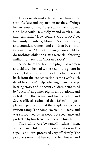Jerry's newfound atheism gave him some sort of solace and explanation for the sufferings he saw around him. If there was an omnipotent God, how could He sit idly by and watch Lillian and Jean suffer? How could a "God of love" let his family members, Monique's entire village, and countless women and children be so brutally murdered? And of all things, how could He do nothing while the Nazis were slaughtering millions of Jews, His "chosen people"?

Aside from the horrible plight of women and children he had witnessed in the ghetto in Berlin, tales of ghastly incidents had trickled back from the concentration camps with such detail he couldn't help believing them. He kept hearing stories of innocent children being used by "doctors" as guinea pigs in amputations, and in tests of lethal germs and toxins. Polish and Soviet officials estimated that 1.5 million people were put to death at the Majdanek concentration camp. The camp covered 670 acres and was surrounded by an electric barbed fence and protected by fourteen machine-gun turrets.

The victims were Jews and Christians—men, women, and children from every nation in Europe—and were processed very efficiently. The prisoners were first herded into bathhouses and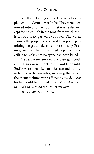stripped, their clothing sent to Germany to supplement the German wardrobe. They were then moved into another room that was sealed except for holes high in the roof, from which canisters of a toxic gas were dropped. The warm showers the people took opened their pores, permitting the gas to take effect more quickly. Prison guards watched through glass panes in the ceiling to make sure everyone had been killed.

The dead were removed, and their gold teeth and fillings were knocked out and later sold. Bodies were then taken to a furnace and burned in ten to twelve minutes, meaning that when the crematoriums were efficiently used, 1,900 bodies could be burned a day. *The ashes were then sold to German farmers as fertilizer.*

No . . . there was no God.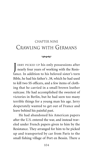# CHAPTER NINE CRAWLING WITH GERMANS

### $\infty$

J ERRY PICKED UP his only possessions after nearly four years of working with the Resistance. In addition to his beloved sister's torn Bible, he had his father's .38, which he had used to kill two SS officers, and a few items of clothing that he carried in a small brown leather suitcase. He had accomplished the sweetest of victories in Berlin, but he had seen too many terrible things for a young man his age. Jerry desperately wanted to get out of France and leave behind his painful past.

He had abandoned his American papers after the U.S. entered the war, and instead traveled under French papers given to him by the Resistance. They arranged for him to be picked up and transported by car from Paris to the small fishing village of Port en Bessin. There a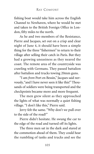fishing boat would take him across the English Channel to Newhaven, where he would be met and taken to the British Foreign Office in London, fifty miles to the north.

As he and two members of the Resistance, Pierre and Jacques, set out on a crisp and clear night of June 4, it should have been a simple thing for the three "fishermen" to return to their village after selling their catch in Paris. But they had a growing uneasiness as they neared the coast. The remote area of the countryside was crawling with Germans. They passed battalion after battalion and trucks towing 20mm guns.

"I am *from* Port en Bessin," Jacques said nervously, "and I have never seen it like this!" Thousands of soldiers were being transported and the checkpoints became more and more frequent.

The men grew silent as they approached the lights of what was normally a quiet fishing village. "I don't like this," Pierre said.

Jerry felt the same. "Why don't we pull over to the side of the road?"

Pierre didn't hesitate. He swung the car to the edge of the road and turned off its lights.

The three men sat in the dark and stared at the commotion ahead of them. They could hear the rumbling of tanks and trucks and see the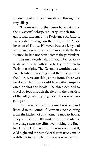silhouettes of artillery being driven through the tiny village.

"The invasion . . . they *must* have details of the invasion!" whispered Jerry. British intelligence had informed the Resistance on June 1, via a coded message on the BBC, of the Allies' invasion of France. However, because Jerry had withdrawn earlier from active work with the Resistance, he had not been privy to the particulars.

The men decided that it would be too risky to drive into the village or to try to return to Paris that night. The Germans wouldn't want French fishermen rising up at their backs while the Allies were attacking at the front. There was no doubt that they would have either imprisoned or shot the locals. The three decided to travel by foot through the fields to the outskirts of the village and try to get details on what was going on.

They crouched behind a small rowboat and listened to the sound of German voices coming from the kitchen of a fisherman's modest home. They were about 500 yards from the center of the village near the cliffs overlooking the English Channel. The roar of the waves on the still, cold night and the rumble of distant trucks made it difficult to hear what the voices were saying.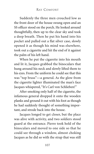Suddenly the three men crouched low as the front door of the house swung open and an SS officer stood on the porch. He looked around thoughtfully, then up to the clear sky and took a deep breath. Then he put his hand into his pocket and pulled out a flat silver case, slowly opened it as though his mind was elsewhere, took out a cigarette and hit the end of it against the palm of his left hand.

When he put the cigarette into his mouth and lit it, Jacques grabbed the binoculars that hung around his neck and slowly lifted them to his eyes. From the uniform he could see that this was "top brass"—a general. As the glow from the cigarette lighter illuminated the man's face Jacques whispered, "It's Carl von Schlieben!"

After smoking only half of the cigarette, the infamous general dropped it onto the wooden planks and ground it out with his foot as though he had suddenly thought of something important, and strode back into the house.

Jacques longed to get closer, but the place was alive with activity, and two soldiers stood guard at the entrance. Pierre took hold of the binoculars and moved to one side so that he could see through a window, almost choking Jacques as he did so with the strap that was still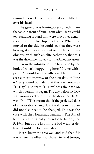around his neck. Jacques smiled as he lifted it over his head.

The general was leaning over something on the table in front of him. From what Pierre could tell, standing around him were two other generals and four or five top SS officers. When one moved to the side he could see that they were looking at a map spread out on the table. It was obvious, with such an elite gathering, that this was the defensive strategy for the Allied invasion.

"From the information we have, and by the look of what's happening here," Pierre whispered, "I would say the Allies will land in this area either tomorrow or the next day, on June 6." Jerry found out later that this was known as "D-Day." The term "D-Day" was the date on which operations began. The day before D-Day was known as "D-1," while the day after D-Day was "D+1." This meant that if the projected date of an operation changed, all the dates in the plan did not also need to be changed. This was the case with the Normandy landings. The Allied landing was originally intended to be on June 5, 1944, but at the last minute bad weather delayed it until the following day.

Pierre knew the area well and said that if it was where the Allies had chosen to land troops,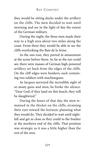they would be sitting ducks under the artillery on the cliffs. The men decided to wait until morning and see in the light of day the extent of the German military.

During the night, the three men made their way to a high area about two miles along the coast. From there they would be able to see the cliffs overlooking the Baie de la Seine.

As the sun rose, they peered in amazement at the scene before them. As far as the eye could see, there were masses of German high-powered artillery set back from the edges of the cliffs. On the cliff edges were bunkers, each containing two soldiers with machineguns.

As Jacques surveyed the incredible sight of so many guns and men, he broke the silence. "Dear God, if they land on this beach, they will be slaughtered."

During the hours of that day, the men remained in the thicket on the cliffs, straining their eyes toward the horizon, planning what they would do. They decided to wait until nightfall and get as close as they could to the bunker at the northern end of the cliffs. That position was strategic as it was a little higher than the rest of the area.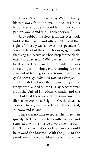It was 6:00 a.m. the next day. Without taking his eyes away from the small binoculars in his hand, Pierre suddenly prodded his two companions awake and said, "There they are!"

Jerry rubbed the sleep from his eyes, took hold of the glasses and uttered, "Look at that sight . . . It truly was an awesome spectacle. It was still dark but the entire horizon, aglow with the rising sun, served as a backdrop for the blackened silhouettes of 5,000 battleships—*Allied* battleships. Jerry stared at the sight. This was the trumpet-blowing cavalry coming for the remnant of fighting soldiers. *It was a realization of the prayers of millions in war-torn Europe.*

Little did he know that the majority of the troops who landed on the D-Day beaches were from the United Kingdom, Canada, and the U.S. but that there were also courageous soldiers from Australia, Belgium, Czechoslovakia, France, Greece, the Netherlands, New Zealand, Norway, and Poland.

There was no time to spare. The three men quickly blackened their faces with charcoal and scurried down the hillside toward the first bunker. They knew that every German eye would be toward the horizon. With the glow of the pre-dawn sun, they could see the outline of two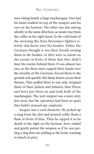men sitting beside a large machinegun. One had his hand readied on top of the weapon and his eyes on the horizon. The other was also staring silently in the same direction, as steam rose from the coffee in his right hand. In the cold hush of the morning the three Resistance fighters silently slid down into the bunker. Either the Germans thought it was their friends joining them in the bunker, or they were so intent on the enemy in front of them that they didn't hear the enemy behind them. It was almost too easy as the three men cupped their hands over the mouths of the Germans, forced them to the ground and quickly slid sharp knives across their throats. They pulled them to one side, stripped them of their jackets and helmets, then Pierre and Jerry put them on and took hold of the machinegun. The next outpost was a mere sixty feet away, but the operation had been so quiet they hadn't aroused any suspicion.

Jacques was a cool character. He picked up a mug from the dirt and poured coffee from a flask in front of him. Then he sipped it as he drank in the sight on the horizon. Jerry smiled and gently patted the weapon as if he was patting a dog that was pulling at the leash, wanting to attack its prey.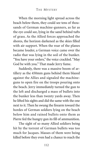When the morning light spread across the beach below them, they could see tens of thousands of German machine-gunners, as far as the eye could see, lying in the sand behind tufts of grass. As the Allied forces approached the shores, the horizon darkened as the skies filled with air support. When the roar of the planes became louder, a German voice came over the radio that was lying in the soil of the bunker. "You have your orders," the voice crackled. "May God be with you." That made Jerry fume.

Suddenly, there was a massive boom of artillery as the 450mm guns behind them blazed against the Allies and signaled the machineguns to open fire on the troops pouring onto the beach. Jerry immediately turned the gun to the left and discharged a mass of bullets into the bunker less than twenty yards away. Then he lifted his sights and did the same with the one next to it. Then he swung the firearm toward the hordes of German soldiers lying on the beach below him and rained bullets onto them as Pierre fed the hungry gun its fill of ammunition.

The sight of so many Allied soldiers being hit by the torrent of German bullets was too much for Jacques. Masses of them were being killed before they even had a chance to reach the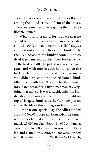shore. Their dead and wounded bodies floated among the blood-crimson foam of the waves. These were men who were giving their lives to liberate France.

With total disregard for the fact that he would be seen by rows of German artillery stationed 100 feet back from the cliff, Jacques climbed out of the shelter of the bunker. He then ran across to the bunker containing two dead Germans and pushed their bodies aside. In the heat of battle, he picked up two machineguns and with one in each hand, ran to the back of the third bunker of stunned Germans who didn't expect to be attacked from behind, filling them with lead. Then he hurtled himself into it and began firing like a madman at everything that moved. It was a suicide mission. Predictably, there was a sudden explosion right on top of Jacques' bunker, as the Germans put an end to the life of this courageous Frenchman.

On that one special day, the Allies landed around 156,000 troops in Normandy. The American forces landed a total of 73,000: approximately 23,000 on Utah Beach, 34,000 on Omaha Beach, and 16,000 airborne troops. In the British and Canadian sector, 83,000 were landed (62,000 of them British): 25,000 on Gold Beach,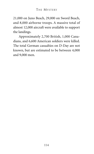21,000 on Juno Beach, 29,000 on Sword Beach, and 8,000 airborne troops. A massive total of almost 12,000 aircraft were available to support the landings.

Approximately 2,700 British, 1,000 Canadians, and 6,600 American soldiers were killed. The total German casualties on D-Day are not known, but are estimated to be between 4,000 and 9,000 men.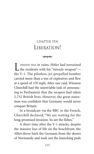#### CHAPTER TEN LIBERATION!

 $\infty$ 

L ONDON WAS in ruins. Hitler had terrorized<br>the residents with his "miracle weapon" the V-1. The pilotless, jet-propelled bomber carried more than a ton of explosives and flew at a speed of 370 mph. After one raid, Winston Churchill had the unenviable task of announcing to Parliament that the weapon had taken 2,752 British lives. However, the great statesman was confident that Germany would never conquer Britain.

In a broadcast via the BBC to the French, Churchill declared, "We are waiting for the long-promised invasion. So are the fishes."

A short time after the V-1 attacks, despite the massive loss of life on the beachfront, the Allies drove back the Germans from the shores of Normandy and took out the launching pads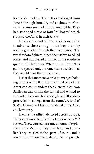for the V-1 rockets. The battles had raged from June 6 through June 27, and at times the German defense seemed almost invincible. They had stationed a row of four "pillboxes," which stopped the Allies in their tracks.

Finally at the end of June, soldiers were able to advance close enough to destroy them by tossing grenades through their ventilators. The two freedom fighters joined themselves to Allied forces and discovered a tunnel in the southern quarter of Cherbourg. When smoke from Nazi gunfire spewed out, the Americans decided that they would blast the tunnel open.

Just at that moment, a private emerged holding onto a white flag. He informed one of the American commanders that General Carl von Schlieben was within the tunnel and wished to surrender. Jerry watched in delight as 800 soldiers proceeded to emerge from the tunnel. A total of 30,000 German soldiers surrendered to the Allies at Cherbourg.

Even as the Allies advanced across Europe, Hitler continued bombarding London using V-2 rockets. These carried the same amount of explosives as the V-1, but they were faster and deadlier. They traveled at the speed of sound and it was almost impossible to detect their approach.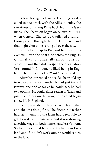Before taking his leave of France, Jerry decided to backtrack with the Allies to enjoy the sweetness of taking Paris back from the Germans. The liberation began on August 25, 1944, when General Charles de Gaulle led a tumultuous parade through the streets of Paris, and that night church bells rang all over the city.

Jerry's long trip to England had been uneventful. Even the boat ride across the English Channel was an unusually smooth one, for which he was thankful. Despite the devastation Jerry found in London, he liked being in England. The British made a "Yank" feel special.

After the war ended he decided he would try to recapture his lost youth. He had just turned twenty-one and as far as he could see, he had two options. He could either return to Texas and join his mother on the farm, or he could begin a new life in England.

He had reestablished contact with his mother and she was doing fine. The friend his father had left managing the farm had been able to get it on its feet financially, and it was drawing a healthy wage for both himself and Jerry's mom. So, he decided that he would try living in England and if it didn't work out, he would return to the U.S.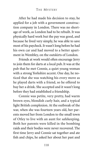After he had made his decision to stay, he applied for a job with a government construction company in London. There was no shortage of work, as London had to be rebuilt. It was physically hard work but the pay was good, and because he lived very simply, he was able to save most of his paycheck. It wasn't long before he had his own car and had moved to a better apartment in Wembley, on the outskirts of London.

Friends at work would often encourage Jerry to join them for darts at a local pub. It was at the pub that he met Connie, a quiet young woman with a strong Yorkshire accent. One day, he noticed that she was watching his every move as he played darts with a friend, so he offered to buy her a drink. She accepted and it wasn't long before they had established a friendship.

Connie was petite, very pretty, had warm brown eyes, blondish curly hair, and a typical light British complexion. At the outbreak of the war, when she was fourteen years old, her parents moved her from London to the small town of Otley to live with an aunt for safekeeping. Both her parents were killed in the bombing raids and their bodies were never recovered. The first time Jerry and Connie sat together and ate fish and chips, he asked her about her past and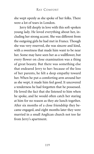she wept openly as she spoke of her folks. There were a lot of tears in London.

Jerry fell deeply in love with this soft-spoken young lady. He loved everything about her, including her strong accent. She was different from the outgoing girls he had met in France. Though she was very reserved, she was sincere and kind, with a sweetness that made him want to be near her. Some may have seen her as a wallflower, but every flower on close examination was a thing of great beauty. But there was something else that endeared Jerry to her: because of the loss of her parents, he felt a deep empathy toward her. When he put a comforting arm around her as she wept, it made him feel good. It uncovered a tenderness he had forgotten that he possessed. He loved the fact that she listened to him when he spoke, and he would often catch her staring at him for no reason as they ate lunch together. After six months of a close friendship they became engaged, and eight months later they were married in a small Anglican church not too far from Jerry's apartment.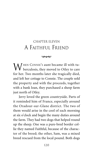# CHAPTER ELEVEN A FAITHFUL FRIEND

 $\infty$ 

WHEN CONNIE's aunt became ill with tu- $\sqrt{\ }$  berculosis, they moved to Otley to care for her. Two months later she tragically died, and left her cottage to Connie. The couple sold the property and with the proceeds, together with a bank loan, they purchased a sheep farm just north of Otley.

Jerry loved the green countryside. Parts of it reminded him of France, especially around the Oradour-sur-Glane district. The two of them would arise in the cool of each morning at six o'clock and begin the many duties around the farm. They had two dogs that helped round up the sheep. One was a pure-bred border collie they named Faithful, because of the character of the breed; the other, Sam, was a mixed breed rescued from the local pound. Both dogs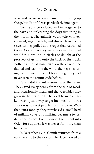were instinctive when it came to rounding up sheep, but Faithful was particularly intelligent.

Connie and Jerry loved walking together to the barn and unleashing the dogs first thing in the morning. The animals would yelp with excitement, wag their tails, and almost choke themselves as they pulled at the ropes that restrained them. As soon as they were released, Faithful would run around in circles of delight at the prospect of getting onto the back of the truck. Both dogs would stand right on the edge of the flatbed and lean into the wind, their eyes scouring the horizon of the fields as though they had never seen the countryside before.

Rarely did the Adamsons leave the farm. They saved every penny from the sale of wool, and occasionally meat, and the vegetables they grew in their rich soil. The local farmer's market wasn't just a way to get income, but it was also a way to meet people from the town. With that extra money, they purchased a small herd of milking cows, and milking became a twicedaily occurrence. Even if one of them went into Otley for supplies, it was never for more than half a day.

In December 1945, Connie returned from a routine visit to the doctor. Her face glowed as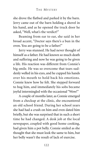she drove the flatbed and parked it by the barn. Jerry came out of the barn holding a shovel in his hand, and as he opened the truck door he asked, "Well, what's the verdict?"

Beaming from ear to ear, she said in her broad accent, "Doctor says there's a bun in the oven. You are going to be a father!"

Jerry was stunned. He had never thought of himself as a father. He had known so much death and suffering and now he was going to be given a life. His reaction was different from Connie's big smile. He was so overcome that tears suddenly welled in his eyes, and he cupped his hands over his mouth to hold back his emotions. Connie knew how he felt. She stepped forward to hug him, and immediately his sobs became joyful intermingled with the occasional "Wow!"

A couple of months later, as Connie emerged from a checkup at the clinic, she encountered an old school friend. During her school years she had had a crush on him and even dated him briefly, but she was surprised that in such a short time he had changed. A desk job at the local newspaper, coupled with good home cooking, had given him a pot belly. Connie smiled as she thought that she must look the same to him, but her belly wasn't the result of lack of exercise.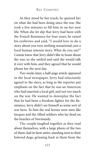As they stood by her truck, he quizzed her on what she had been doing since the war. She took a few minutes to fill him in on her new life. When she let slip that Jerry had been with the French Resistance for four years, he raised his eyebrows and said, "I would love to do a story about you two; nothing sensational, just a local human interest story. What do you say?" Connie knew that Jerry didn't like to boast about the war, so she smiled and said she would talk it over with him, and they agreed that he would phone her the next day.

Two weeks later, a half-page article appeared in the local newspaper. Jerry had reluctantly agreed to the story, as long as the reporter put emphasis on the fact that he was an American who had married a local girl, and not too much on the war. He wanted to downplay the fact that he had been a freedom fighter for the Resistance. Jerry didn't see himself as some sort of war hero. To him the real heroes were men like Jacques and the Allied soldiers who lay dead on the beaches of Normandy.

The couple laughed together as they read about themselves, with a large photo of the two of them clad in farm attire, standing next to their beloved dogs, grinning back at them from the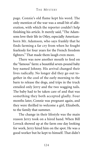page. Connie's old flame kept his word. The only mention of the war was a small bit of alliteration, with which the reporter couldn't help finishing his article. It merely said, "The Adamsons love their life in Otley, especially Americanborn Mr. Adamson, who says frankly that he finds farming a far cry from when he fought fearlessly for four years for the French freedom fighters." That made them laugh even more.

There was now another mouth to feed on the "famous" farm: a beautiful seven-pound baby boy named Johnny. His arrival changed their lives radically. No longer did they go out together in the cool of the early morning to the barn to release the dogs, and trips in the truck entailed only Jerry and the two wagging tails. The baby had to be taken care of and that was something they both accepted gladly. Four months later, Connie was pregnant again, and they were thrilled to welcome a girl, Elizabeth, to the family that summer.

The change in their lifestyle was the main reason Jerry took on a hired hand. When Bill Lovock showed up at the farm one day looking for work, Jerry hired him on the spot. He was a good worker but he kept to himself. That didn't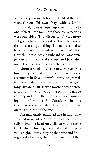worry Jerry too much because he liked the private seclusion of his own lifestyle with his family.

Bill did, however, open up when it came to one subject—the war—but those conversations were one-sided. The "discussions" were more Bill giving his opinion rather than the two of them discussing anything. The man seemed to have some sort of resentment toward Winston Churchill, which wasn't unheard of. Some were jealous of his political success, and Jerry dismissed Bill's attitude as "to each his own."

About a week after the new worker was hired, they received a call from the Adamsons' accountant in Texas. It wasn't unusual to get mail from the States, but it was uncommon to get a long-distance call. Jerry's mother often wrote and told him what was going on in his native country and her letters were always encouraging and informative. But Connie watched his face turn pale as he listened to the Texas drawl on the other end of the line.

The man gently explained that he had some very sad news. Mrs. Adamson had been tragically killed in a head-on collision with a cattle truck while returning from Dallas late the previous night. After surveying the scene and finding no skid marks, the police concluded that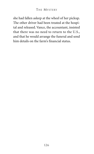she had fallen asleep at the wheel of her pickup. The other driver had been treated at the hospital and released. Vance, the accountant, insisted that there was no need to return to the U.S., and that he would arrange the funeral and send him details on the farm's financial status.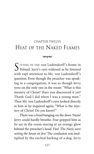# CHAPTER TWELVE HEAT OF THE NAKED FLAMES



 $\Gamma$  ITTING IN THE von Ludendorff's home in Poland, Jerry's eyes widened as he listened with rapt attention to Mr. von Ludendorff's question. Even though the preacher was speaking to a congregation, it was as though Jerry were on the only one in the room: "What is this mystery of Christ? Have you discovered it yet? Thank God I did when I was a young man." Then Mr. von Ludendorff's eyes looked directly at him as he inquired again, "What is the mystery of Christ? Do *you* know?"

There was a loud banging on the door. Nazis! Jerry could hardly breathe. Fear gripped him as he sat in the room staring at an orange glow behind the preacher's head. Fire! *The Nazis were setting the house on fire!* The confusion was multiplied by the excited barking of a dog. Jerry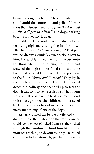began to cough violently. Mr. von Ludendorff stood amid the confusion and yelled, "Awake thou that sleepest, and *arise from the dead and Christ shall give thee light!*" The dog's barking became louder and louder.

Suddenly, Jerry awoke from his dream to the terrifying nightmare, coughing in his smokefilled bedroom. *The house was on fire!* That part was no dream! Connie lay unconscious next to him. He quickly pulled her from the bed onto the floor. Many times during the war he had crawled through smoke-filled rooms and he knew that breathable air would be trapped close to the floor. *Johnny and Elizabeth!* They lay in their beds in the next room. He quickly crawled down the hallway and reached up to feel the door. It was cool, so he thrust it open. Their room was also full of smoke. He held his breath, stood to his feet, grabbed the children and crawled back to his wife. As he did so, he could hear the incessant barking of one of the dogs.

As Jerry pulled his beloved wife and children out into the fresh air on the front lawn, he could feel the heat of naked flames as they licked through the windows behind him like a huge monster reaching to devour its prey. He rolled Connie onto her stomach, put her limp arms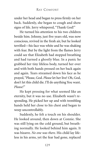under her head and began to press firmly on her back. Suddenly, she began to cough and show signs of life. Jerry whispered, "Thank God!"

He turned his attention to his two children beside him. Johnny, just five years old, was now conscious, revived in the fresh air, but he looked terrified—his face was white and he was shaking with fear. But by the light from the flames Jerry could see that Elizabeth had stopped breathing and had turned a ghostly blue. In a panic he grabbed her tiny lifeless body, turned her over and with both hands pressed on her back again and again. Tears streamed down his face as he prayed, "Please, God. *Please* let her live! Oh, God, don't let this child die. I'll do anything You want. *Please!"*

He kept pressing for what seemed like an eternity, but it was no use. Elizabeth wasn't responding. He picked her up and with trembling hands held her close to his chest and began to weep uncontrollably.

Suddenly, he felt a touch on his shoulder. He looked around, then down at Connie. She was still lying on the cold ground, but breathing normally. He looked behind him again. It was bizarre. *No one was there*. His child lay lifeless in his arms, yet the fear had gone, replaced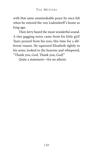with that same unmistakable peace he once felt when he entered the von Ludendorff's home so long ago.

Then Jerry heard the most wonderful sound. A tiny gagging noise came from his little girl! Tears poured from his eyes, this time for a different reason. He squeezed Elizabeth tightly in his arms, looked to the heavens and whispered, "Thank you, God. Thank you, God!"

Quite a statement—for an atheist.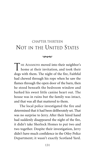# CHAPTER THIRTEEN NOT IN THE UNITED STATES

 $\infty$ 

THE ADAMSONS moved into their neighbor's home at their invitation, and took their dogs with them. The night of the fire, Faithful had chewed through his rope when he saw the flames through the open door of the barn, then he stood beneath the bedroom window and barked his sweet little canine heart out. The house was in ruins but the family was intact, and that was all that mattered to them.

The local police investigated the fire and determined that it had been deliberately set. That was no surprise to Jerry. After their hired hand had suddenly disappeared the night of the fire, it didn't take Sherlock Homes to put two and two together. Despite their investigation, Jerry didn't have much confidence in the Otley Police Department; it wasn't exactly Scotland Yard.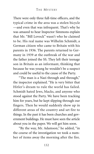There were only three full-time officers, and the typical crime in the area was a stolen bicycle —and even that was infrequent. That's why he was amazed to hear Inspector Simmons explain that Mr. "Bill Lovock" wasn't who he claimed to be. His real name was Wilhelm Schmidt, a German citizen who came to Britain with his parents in 1936. The parents returned to Germany in 1939 at the outbreak of the war and the father joined the SS. They left their teenage son in Britain as an informant, thinking that because he was young he wouldn't be a suspect and could be useful to the cause of the Party.

"The man is a Nazi through and through," the inspector explained. "He is very bitter that Hitler's dream to rule the world has failed. Schmidt hated Jews, blacks, and anyone who stood against the Party. We have been tracking him for years, but he kept slipping through our fingers. Then he would suddenly show up in different areas of the country and set fire to things. In the past it has been churches and government buildings. He must have seen the article about you in the paper. We will get him soon.

"By the way, Mr. Adamson," he added, "in the course of the investigation we took a number of items away the morning after the fire.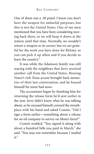One of them was a .38 pistol. I know you don't have the weapon for unlawful purposes, but this is not the United States. One of my men mentioned that you have been considering moving back there, so we will keep it down at the station until that time. Normally, we wouldn't return a weapon to its owner; but we are grateful for the work you have done for Britain, so you can pick it up when and if you decide to leave the country."

It was while the Adamson family was still staying with the neighbors that Jerry received another call from the United States. Hearing Vance's rich Texas accent brought back memories of their last conversation, and he braced himself for more bad news.

The accountant began by thanking him for returning the release form he'd sent earlier in the year. Jerry didn't know what he was talking about, so he excused himself, covered the mouthpiece with his hand and asked Connie, "Did I sign a form earlier—something about a release for an oil company to survey on Mom's farm?"

Connie nodded. "You signed it along with about a hundred bills you paid in March," she said. "You may not remember because I mailed it."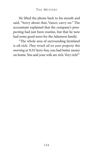He lifted the phone back to his mouth and said, "Sorry about that, Vance; carry on." The accountant explained that the company's prospecting had just been routine, but that he now had some good news for the Adamson family.

"The whole area of surrounding farmland is oil-rich. *They struck oil on your property this morning at 9:35!* Jerry-boy, you had better mosey on home. You and your wife are rich. Very rich!"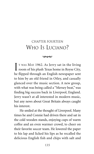# CHAPTER FOURTEEN WHO IS LUCIANO?

 $\infty$ 

I T WAS MAY 1962. As Jerry sat in the living room of his plush Texas home in Royse City, he flipped through an English newspaper sent to him by an old friend in Otley, and casually glanced over the music section. A new group, with what was being called a "Mersey beat," was finding big success back in Liverpool, England. Jerry wasn't at all interested in modern music, but any news about Great Britain always caught his interest.

He smiled at the thought of Liverpool. Many times he and Connie had driven there and sat in the cold wooden stands, enjoying cups of warm coffee and an even warmer crowd, to cheer on their favorite soccer team. He lowered the paper to his lap and licked his lips as he recalled the delicious English fish and chips with salt and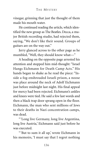vinegar, grinning that just the thought of them made his mouth water.

He continued reading the article, which identified the new group as The Beatles. Decca, a major British recording studio, had rejected them, saying, "We don't like their sound. Groups of guitars are on the way out."

Jerry glanced across to the other page as he mumbled, "Well, they should know what—"

A heading on the opposite page arrested his attention and stopped him mid-thought: "Israel Hangs Eichmann for Death Camp Acts." His hands began to shake as he read the piece: "Inside a fog-enshrouded Israeli prison, a noose was place around the neck of Adolf Eichmann just before midnight last night. His final appeal for mercy had been rejected. Eichmann's ankles and knees were tied. He said a few last words and then a black trap door sprang open in the floor. Eichmann, the man who sent millions of Jews to their deaths in Nazi concentration camps, was dead.

"'Long live Germany, long live Argentina, long live Austria,' Eichmann said just before he was executed.

"'But to sum it all up,' wrote Eichmann in his memoirs, 'I must say that I regret nothing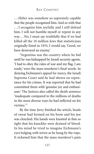...Hitler was somehow so supremely capable that the people recognized him. And so with that . . . I recognize him joyfully and I still defend him. I will not humble myself or repent in any way. . . No, I must say truthfully that if we had killed all the 10 million Jews that statisticians originally listed in 1933, I would say, 'Good, we have destroyed an enemy.'

"Argentina was the country where he hid until he was kidnapped by Israeli security agents. 'I had to obey the rules of war and my flag. I am ready,' were the mass murderer's final words. In denying Eichmann's appeal for mercy, the Israeli Supreme Court said he had shown no repentance for his crimes. It was reported that he had committed them with 'genuine joy and enthusiasm.' The Justices also called the death sentence 'inadequate compared to the millions of deaths in the most diverse ways he had inflicted on his victims<sup>"</sup>

By the time Jerry finished the article, beads of sweat had formed on his brow and his jaw was clenched. His hands were knotted in fists so tight that his knuckles were drained of blood. In his mind he tried to imagine Eichmann's eyes bulging with terror as he hung by the rope. It sickened him that the mass murderer's pain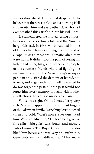was so short-lived. He wanted desperately to believe that there was a God and a burning Hell that awaited him and every other Nazi who had ever breathed this earth's air into his evil lungs.

He remembered the limited feeling of satisfaction after he so closely followed the Nuremberg trials back in 1946, which resulted in nine of Hitler's henchmen swinging from the end of a rope. It was almost anti-climatic when they were hung. It didn't stop the pain of losing his father and sister, his grandmother and Joseph, or the countless friends who died fighting the malignant cancer of the Nazis. Today's newspaper item only stirred the demons of hatred, bitterness, and anger within him. All he wanted to do was forget the past, but the past would not forget him. Every memory brought with it other recollections that carried unbearable pain.

Vance was right. Oil had made Jerry very rich. Money dripped from the affluent fingers of the Adamson family. Everything Jerry touched turned to gold. What's more, everyone liked him. Why wouldn't they? He became a giver of fine gifts—big gifts: cars, boats, and money. Lots of money. The Royse City authorities also liked him because he was very philanthropic. Generosity was his middle name. Oil had made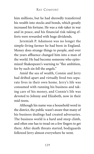him millions, but he had shrewdly transferred his wealth into stocks and bonds, which greatly increased his fortune. He was a risk-taker in war and in peace, and his financial risk-taking efforts were rewarded with huge dividends.

Jeremiah P. Adamson was no longer the simple-living farmer he had been in England. Money does strange things to people, and over the years affluence changed him into a man of the world. He had become someone who epitomized Shakespeare's warning to "flee ambition, for by such sin fell the angels."

Amid the sea of wealth, Connie and Jerry had drifted apart and virtually lived two separate lives in their own home. Jerry's life was consumed with running his business and taking care of his money, and Connie's life was devoted to Johnny and Elizabeth, now in their mid-teens.

Although his name was a household word in the district, the public wasn't aware that many of his business dealings had created adversaries. The business world is a hard and steep climb, and often one has to tread on a few fingers to get there. After death threats started, bodyguards followed Jerry almost everywhere he went.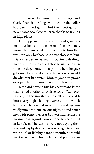There were also more than a few large and shady financial dealings with people the police had been investigating, but the investigations never came too close to Jerry, thanks to friends in high places.

Jerry appeared to be a warm and generous man, but beneath the exterior of benevolence, money had surfaced another side to him that was seen only by those who were closest to him. His war experiences and his business dealings made him into a cold, ruthless businessman. In time, he degenerated to a point where he gave gifts only because it created friends who would do whatever he wanted. Money gave him power over people, and power gave him pleasure.

Little did anyone but his accountant know that he had another dirty little secret. Years previously, he had invested almost all of his wealth into a very high-yielding overseas fund, which had recently crashed overnight, sending him wildly into debt. But late one night, he and Vance met with some overseas bankers and secured a massive loan against casino properties he owned in Las Vegas. The casinos were not paying their way, and day by day Jerry was sinking into a giant whirlpool of liability. Once a month, he would meet secretly with his creditors and plead for an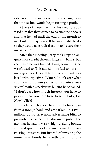extension of his loans, each time assuring them that the casinos would begin turning a profit.

At one of these meetings, his creditors advised him that they wanted to balance their books and that he had until the end of the month to meet interest payments. If he was unable to do so they would take radical action to "secure their investment<sup>"</sup>

After that meeting, Jerry took steps to acquire more credit through large city banks, but each time he was turned down, something he wasn't used to. This added more fuel to his simmering anger. His call to his accountant was laced with expletives. "Vance, I don't care what you have to do, *but get me some credit somewhere!"* With his neck veins bulging he screamed, "I don't care how much interest you have to pay, or where you have to go to get it, but get it. *Now!"* Click!

In a last-ditch effort, he secured a huge loan from a foreign bank and embarked on a twomillion-dollar television advertising blitz to promote his casinos. He also made public the fact that he had low-risk, high-yielding bonds, and vast quantities of revenue poured in from trusting investors. But instead of investing the money into bonds, he secretly used it for ad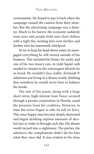vertisements. He hoped to pay it back when the campaign roused the casinos from their slumber. But the advertising campaign was a disaster. Much to his horror the economy suddenly went sour and people held onto their dollars with a tight fist, sucking him even further and further into his mammoth whirlpool.

To try to keep his head above water, he mortgaged everything he still owned outside of his business. This included his home, his yacht, and one of his two luxury cars, to yield liquid cash needed to remain in the extravagant lifestyle he so loved. He wouldn't face reality. Jeremiah P. Adamson was living in a dream world, thinking that somehow he would never have to balance the books.

The sale of his assets, along with a large short-term, high-interest loan Vance secured through a private corporation in Florida, eased the pressure from his creditors. However, in time the stress began to take its toll on Jerry. This once happy man became deeply depressed and began drinking copious amounts of alcohol just to make it through each day. His dream world turned into a nightmare. The parties, the admirers, the compliments didn't do for him what they once did. It was evident to his close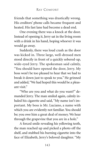friends that something was drastically wrong. His creditors' phone calls became frequent and heated. His fast lane had become a dead end.

One evening there was a knock at the door. Instead of opening it, Jerry sat in the living room with a drink in his hand, hoping whoever it was would go away.

Suddenly, there was loud crash as the door was kicked in. Three large, well-dressed men stood directly in front of a quickly sobered-up, wide-eyed Jerry. The spokesman said calmly, "You should have opened the door, Jerry. My boss won't be too pleased to hear that we had to break it down just to speak to you." He grinned and added,"We had hoped this would be a pleasant visit."

"Who are you and what do you want?" demanded Jerry. The man smiled again, calmly inhaled his cigarette and said, "My name isn't important. My boss is Mr. Luciano, a name with which you are evidently not familiar. You should be; you owe him a great deal of money. We hear through the grapevine that you are in a hole."

A forced smile revealing his yellowing teeth, the man reached up and picked a photo off the shelf, and stubbed his burning cigarette into the face of Elizabeth, Jerry's beloved daughter. "My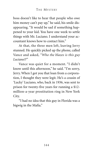boss doesn't like to hear that people who owe him money can't pay up," he said, his smile disappearing. "It would be sad if something happened to your kid. You have one week to settle things with Mr. Luciano. I understand your accountant knows how to contact him."

At that, the three men left, leaving Jerry stunned. He quickly picked up the phone, called Vance and asked, *"Who the blazes is this guy Luciano!?"*

Vance was quiet for a moment. "I didn't know until this afternoon," he said. "I'm sorry, Jerry. When I got you that loan from a corporation, I thought they were legit. He's a cousin of 'Lucky' Luciano, who, back in 1936, was sent to prison for twenty-five years for running a \$12 million-a-year prostitution ring in New York City.

"I had no idea that this guy in Florida was a bigwig in the Mafia."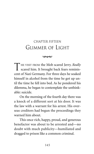# CHAPTER FIFTEEN GLIMMER OF LIGHT

 $\infty$ 

THE VISIT FROM the Mob scared Jerry. *Really* scared him. It brought back fears reminiscent of Nazi Germany. For three days he soaked himself in alcohol from the time he got up until the time he fell into bed. As he pondered his dilemma, he began to contemplate the unthinkable: suicide.

On the morning of the fourth day there was a knock of a different sort at his door. It was the law with a warrant for his arrest. His overseas creditors had begun the proceedings they warned him about.

This once rich, happy, proud, and generous benefactor was about to be arrested and—no doubt with much publicity—humiliated and dragged to prison like a common criminal.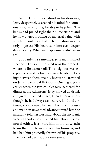As the two officers stood in his doorway, Jerry desperately searched his mind for someone, *anyone*, who may be able to help him. The banks had pulled tight their purse strings and he now owned nothing of material value with which he could negotiate. The situation was utterly hopeless. His heart sank into even deeper despondency. What was happening didn't seem real.

Suddenly, he remembered a man named Theodore Lawson, who lived near the property where he first struck oil. This neighbor was exceptionally wealthy, but there were terrible ill feelings between them, mainly because he frowned on Jerry's continual flirtations. One night years earlier when the two couples were gathered for dinner at the Adamsons', Jerry showed up drunk and greatly insulted Grace, Theodore's wife. Although she had always seemed very kind and virtuous, Jerry cornered her away from their spouses and made an unwanted advance toward her. She naturally told her husband about the incident. When Theodore confronted him about his low moral ethics, Jerry told him in no uncertain terms that his life was none of his business, and had had him physically thrown off his property. The two had been at odds ever since.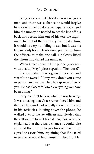But Jerry knew that Theodore was a religious man, and there was a chance he would forgive him for what he had done. Perhaps he would lend him the money he needed to get the law off his back and rescue him out of his terrible nightmare. In light of the way Jerry had treated him, it would be very humbling to ask, but it was his last and only hope. He obtained permission from the officers to make one call. He slowly lifted the phone and dialed the number.

When Grace answered the phone, Jerry nervously said, "May I please speak to Theodore?"

She immediately recognized his voice and warmly answered, "Jerry, why don't you come in person and see us? Theo has spoken often of you. He has closely followed everything you have been doing."

Jerry couldn't believe what he was hearing. It was amazing that Grace remembered him and that her husband had actually shown an interest in his activities. Putting down the phone, he walked over to the law officers and pleaded that they allow him to visit his old neighbor. When he explained that there was a chance he could raise some of the money to pay his creditors, they agreed to escort him, explaining that if he tried to escape he would find himself in deep trouble.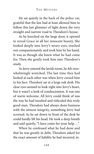He sat quietly in the back of the police car, grateful that the law had at least allowed him to follow this last glimmer of light down the very straight and narrow road to Theodore's house.

As he knocked on the large door, it opened to reveal Grace in all her innocent beauty. She looked deeply into Jerry's weary eyes, reached out compassionately and took him by his hand. It was as though she knew what he had come for. Then she gently took him into Theodore's study.

As Jerry entered the lavish room, he felt overwhelmingly wretched. The last time they had looked at each other was when Jerry cursed him to his face. Theodore sat at a large oak desk. His clear eyes seemed to look right into Jerry's heart, but it wasn't a look of condescension. It was one of warm welcome. All Jerry could think of was the way he had insulted and ridiculed this truly good man. Theodore had always done business with the utmost integrity, something Jerry had scorned. As he sat down in front of the desk he could hardly lift his head. He took a deep breath and said quietly, "I have come for your help ..."

When he confessed what he had done and that he was greatly in debt, Theodore asked for the exact amount of liability he had incurred, in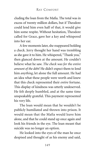cluding the loan from the Mafia. The total was in excess of twenty million dollars, but if Theodore could lend him even half of that, it would give him some respite. Without hesitation, Theodore called for Grace, gave her a key and whispered into her ear.

A few moments later, she reappeared holding a check. Jerry thought her hand was trembling as she gave it to him. He whispered,"Thank you," then glanced down at the amount. He couldn't believe what he saw. *The check was for the entire amount of the debt!* He didn't expect them to lend him *anything*, let alone the full amount. He had an idea what these people were worth and knew that this check represented their *entire* fortune. This display of kindness was utterly undeserved. He felt deeply humbled, and at the same time unspeakably grateful. This payment represented his very life.

The loan would mean that he wouldn't be publicly humiliated and thrown into prison. It would mean that the Mafia would leave him alone, and that he could stand up once again and look his friends in the eye. The loan meant that suicide was no longer an option.

He looked into the eyes of the man he once despised and thought of as his enemy and said,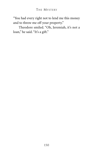"You had every right not to lend me this money and to throw me off your property."

Theodore smiled. "Oh, Jeremiah, it's not a loan," he said. "It's a gift."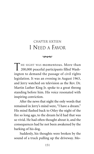# CHAPTER SIXTEEN I NEED A FAVOR

 $\infty$ 

T HE SIGHT WAS momentous. More than 200,000 peaceful participants filled Washington to demand the passage of civil rights legislation. It was an evening in August 1963, and Jerry watched on television as the Rev. Dr. Martin Luther King Jr. spoke to a great throng standing before him. His voice resonated with inspiring conviction.

After the news that night the only words that remained in Jerry's mind were, "I have a dream." His mind flashed back to Otley the night of the fire so long ago, to the dream he'd had that was so vivid. He had often thought about it, and the consequences had he not been awakened by the barking of his dog.

Suddenly, his thoughts were broken by the sound of a truck pulling up the driveway. Mo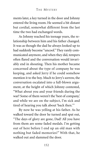ments later, a key turned in the door and Johnny entered the living room. He seemed a bit distant but cordial, somewhat different from the last time the two had exchanged words.

As Johnny reached his teenage years, the relationship between him and his father changed. It was as though the dad he always looked up to had suddenly become "uncool." They rarely communicated anymore, and when they did, tempers often flared and the conversation would invariably end in shouting. Then his mother became concerned about the type of company he was keeping, and asked Jerry if he could somehow mention it to the boy. Much to Jerry's sorrow, the conversation escalated into a full-blown argument, at the height of which Johnny contested, "What about you and your friends during the war? Some of them weren't the 'best of company,' and while we are on the subject, I'm sick and tired of hearing you talk about 'back then.'"

By now he was yelling at his father. As he walked toward the door he turned and spat out, "The days of glory are gone, Dad! All you have from them are some faded medals. I'm getting out of here before I end up an old man with nothing but faded memories!" With that, he walked out and slammed the door.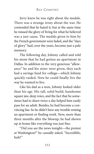Jerry knew he was right about the medals. There was a strange irony about the war. He contended that he hated it, but at the same time he missed the glory of living for what he believed was a just cause. The medals given to him by the French government were faded, and the "days of glory" had, over the years, become just a pale memory.

The following day, Johnny called and told his mom that he had gotten an apartment in Dallas. In addition to the very generous "allowance" he and his sister were given, they each had a savings fund for college—which Johnny quickly raided. Now he could finally live the way he wanted to live.

Like his dad as a teen, Johnny looked older than his age. His tall, solid build, handsome square jaw, deep voice, and the fact that he sometimes had to shave twice a day helped him easily pass for an adult. Besides, he had become a convincing liar. So he didn't have any trouble renting an apartment or finding work. Now, more than three months after the blowup, he had shown up at home like everything was just fine.

"Did you see the news tonight—the protest at Washington?" he casually asked. "Incredible, huh?"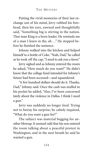Putting the vivid memories of their last exchange out of his mind, Jerry rubbed his forehead, then his eyes, yawned and thoughtfully said, "Something big is stirring in the nation. That man King is a born leader. He reminds me of a man I knew in the, ah ..." He stopped before he finished the sentence.

Johnny walked into the kitchen and helped himself to a bottle of Coke."Yeah, Dad," he called as he took off the cap,"I need to ask you a favor."

Jerry sighed and as Johnny entered the room he asked, "How much do you want?" He didn't know that the college fund intended for Johnny's future had been accessed—and squandered.

"A few hundred dollars should do it. Thanks, Dad," Johnny said. Once the cash was stuffed in his pocket he added, "Also, I've been concerned lately about the violence in Dallas. I think I need a gun."

Jerry was suddenly no longer tired. Trying not to betray his surprise, he calmly inquired, "What do you want a gun for?"

The subject was material begging for another blowup. It seemed odd that his son entered the room talking about a peaceful protest in Washington, and in the next breath he said he wanted a gun.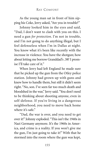As the young man sat in front of him sipping his Coke, Jerry asked, "Are you in trouble?"

Johnny looked him in the eyes and said, "Dad, I don't want to clash with you on this. I need a gun *for protection*. I'm not in trouble, and I'm not going to do anything illegal, but I feel defenseless when I'm in Dallas at night. You know what it's been like recently with the increase in violence. You have the shotgun; how about letting me borrow Granddad's .38? I promise I'll take care of it."

When Jerry had left England he made sure that he picked up the gun from the Otley police station. Johnny had grown up with guns and knew how to handle them, but still it didn't seem right. "No, son. I've seen far too much death and bloodshed in the war," Jerry said."You don't need to be thinking about shooting anyone, even in self-defense. If you're living in a dangerous neighborhood, you need to move back home where it's safe."

"Dad, the war is over, and you need to get over it!" Johnny exploded."This isn't the 1940s in Nazi Germany anymore. It's the 1960s in America, and crime is a reality. If you won't give me the gun, I'm just going to take it!" With that he stormed into the room where the gun was kept,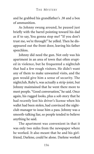and he grabbed his grandfather's .38 and a box of ammunition.

As Johnny swung around, he paused just briefly with the barrel pointing toward his dad as if to say, You gonna stop me? "If you don't trust me, we're through!" he yelled. Then he disappeared out the front door, leaving his father speechless.

Johnny did need the gun. Not only was his apartment in an area of town that often erupted in violence, but he frequented a nightclub that had a few rough visitors. He didn't want any of them to make unwanted visits, and the gun would give him a sense of security. The nightclub, Ruby's, was actually a strip-joint, but Johnny maintained that he went there more to meet people. "Good conversation," he said. Once again, his rugged looks, plus a sob story that he had recently lost his driver's license when his wallet had been stolen, had convinced the nightclub manager to issue him a pass. Johnny was a smooth-talking liar, so people tended to believe anything he said.

The apartment was convenient in that it was only two miles from the newspaper where he worked. It also meant that he and his girlfriend, Darlene, could be alone. Darlene worked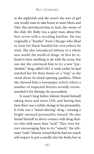at the nightclub and she wasn't the sort of girl one would want to take home to meet Mom and Dad. She introduced him to Jack, the owner of the club. Mr. Ruby was a quiet man, about five foot seven with a receding hairline. He was originally a "hustler" from Chicago who liked to wear his black-banded hat everywhere he went. She also introduced Johnny to a whole new world: the world of drugs. At first he refused to have anything to do with the scene, but one day she convinced him to try a new "psychedelic" drug called LSD. A week earlier he had watched her for three hours on a "trip," as she raved about its mind-opening qualities. When she showed him a newspaper article where a number of respected doctors actually recommended it for therapy, he succumbed.

It wasn't long before Johnny found himself taking more and more LSD, and during that time there was a subtle change in his personality. It truly was a "mind-altering" drug—turning a bright outward personality inward. He also found himself in direct contact with drug dealers who sold more than "acid." They were forever encouraging him to try "smack," the ultimate "rush." Johnny vowed that he had too much self-respect to put a needle into his body, but as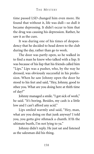time passed LSD changed him even more. He found that without it, life was dull—so dull it became depressing. It didn't occur to him that the drug was causing his depression. Rather, he saw it as the cure.

It was during one of his times of despondency that he decided to head down to the club during the day, rather than go to work.

The door was partly open, so he walked in to find a man he knew who talked with a lisp. It was because of his lisp that his friends called him "Lips." Lips was a pusher, who, by the way he dressed, was obviously successful in his profession. When he saw Johnny open the door he stood to his feet and said, "Hey, Johnny, good to sthee you. What are you doing here at thith time of day?"

Johnny managed a smile."I got sick of work," he said. "It's boring. Besides, my cash is a little low and I can't afford any acid."

Lips smiled warmly and said, "Hey, man, what are you doing on that junk anyway? I told you, you gotta give sthmack a chanth. It'th the ultimate buzth, I'm not lying to ya."

Johnny didn't reply. He just sat and listened as the salesman did his thing.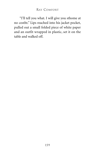"I'll tell you what. I will give you sthome at no costht." Lips reached into his jacket pocket, pulled out a small folded piece of white paper and an outfit wrapped in plastic, set it on the table and walked off.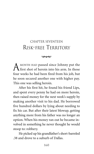## CHAPTER SEVENTEEN RISK-FREE TERRITORY

 $\infty$ 

A MONTH HAD passed since Johnny put the first shot of heroin into his arm. In those four weeks he had been fired from his job, but he soon secured another one with higher pay. This one was selling heroin.

After his first hit, he found his friend Lips, and spent every penny he had on more heroin, then raised money for the next week's supply by making another visit to his dad. He borrowed five hundred dollars by lying about needing to fix his car. But after their latest blowup, getting anything more from his father was no longer an option. When his money ran out he became involved in something he never thought he would stoop to: robbery.

He picked up his grandfather's short-barreled .38 and drove to a suburb of Dallas.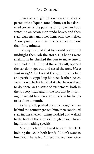It was late at night. No one was around as he peered into a liquor store. Johnny sat in a darkened corner of the parking lot for over an hour watching an Asian man undo boxes, and then stack cigarettes and other items onto the shelves. At one point, there were no customers for more than forty minutes.

Johnny decided that he would wait until midnight then rob the store. His hands were shaking as he checked the gun to make sure it was loaded. He flipped the safety off, opened the car door, got out and cased the area. *Not a soul in sight*. He tucked the gun into his belt and partially zipped up his black leather jacket. Even though he felt terrified at what he was about to do, there was a sense of excitement, both in the robbery itself and in the fact that by morning he would have enough smack in his hands to last him a month.

As he quietly pushed open the door, the man behind the counter greeted him, then continued stacking his shelves. Johnny nodded and walked to the back of the store as though he were looking for something specific.

Moments later he burst toward the clerk holding the .38 in both hands. "I don't want to hurt you!" he yelled. "I need money now! Give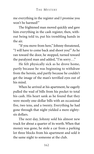me everything in the register and I promise you won't be harmed!"

The frightened man moved quickly and gave him everything in the cash register, then, without being told to, put his trembling hands in the air.

"If you move from here," Johnny threatened, "I will have to come back and shoot you!" As he ran toward the door, he stopped, turned toward the paralyzed man and added, "I'm sorry. . ."

He felt physically sick as he drove home, partly because he was beginning to withdraw from the heroin, and partly because he couldn't get the image of the man's terrified eyes out of his mind.

When he arrived at his apartment, he eagerly pulled the wad of bills from his pocket to total his cash. His heart sank as he found that they were mostly one-dollar bills with an occasional five, two tens, and a twenty. Everything he had gone through that night yielded a mere eightysix dollars.

The next day, Johnny sold his almost new truck for about a quarter of its worth. When that money was gone, he stole a car from a parking lot three blocks from his apartment and sold it the same night to someone at the club.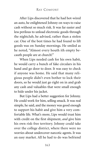After Lips discovered that he had hot-wired an auto, he enlightened Johnny on ways to raise cash without so much risk. It was far easier and less perilous to unload electronic goods through the nightclub, he advised, rather than a stolen car. One of the best times he had found to lift goods was on Sunday mornings. He smiled as he noted, "Almost every houth ith empty becauth people are at church!"

When Lips needed cash for his own habit, he would carry a bunch of fake circulars in his hand and go door to door. It was easy to check if anyone was home. He said that many religious people didn't even bother to lock their doors, so he would just go right on in and grab any cash and valuables that were small enough to hide under his jacket.

But Lips had a better suggestion for Johnny. He could work for him, selling smack. It was real simple, he said, and the money was good enough to support his habit and give him a very comfortable life. What's more, Lips would trust him with credit on the first shipment, *and* give him his own risk-free territory. Johnny could take over the college district, where there were no worries about undercover narcotic agents. It was an easy market. All he had to do was befriend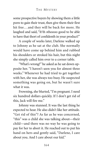some prospective buyers by showing them a little porn to gain their trust, then give them their first hit free... and they will be back for more. He laughed and said, "It'th sthoooo good to be able to have that thort of confidenth in your product!"

A couple of weeks later, Darlene walked up to Johnny as he sat at the club. She normally would have come up behind him and rubbed his shoulders or stroked his hair, but this night she simply called him over to a corner table.

"What's wrong?" he asked as he sat down opposite her. "I haven't seen you for almost three weeks." Whenever he had tried to get together with her, she was always too busy. He suspected something was going on, but he wasn't sure what it was.

Frowning, she blurted, "I'm pregnant. I need six hundred dollars quickly. If I don't get rid of this, Jack will fire me."

Johnny was stunned. It was the last thing he expected to hear. He also didn't like her attitude. "Get rid of this"? As far as he was concerned, "this" was a child she was talking about—their child—and there was no way he was going to pay for her to abort it. He reached out to put his hand on hers and gently said, "Darlene, I care about you. And I care about our kid."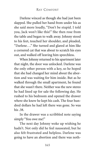Darlene winced as though she had just been slapped. She pulled her hand from under his as she said more loudly, "Don't be stupid. I told you, Jack won't like this!" She then rose from the table and began to walk away. Johnny stood to his feet, touched her shoulder, and pleaded, "Darlene . . ." She turned and glared at him like a cornered cat that was about to scratch his eyes out, and walked off leaving him speechless.

When Johnny returned to his apartment later that night, the door was unlocked. Darlene was the only other person with a key, so he hoped that she had changed her mind about the abortion and was waiting for him inside. But as he walked through the small apartment, he found that she wasn't there. Neither was the new stereo he had lined up for sale the following day. He rushed to his bedroom and opened the drawer where she knew he kept his cash. The four hundred dollars he had left there was gone. So was his .38.

In the drawer was a scribbled note saying simply "You owe me!"

The next day Johnny woke up wishing he hadn't. Not only did he feel nauseated, but he also felt frustrated and helpless. Darlene was going to have an abortion and there was noth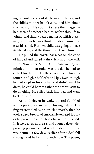ing he could do about it. He was the father, and the child's mother hadn't consulted him about this decision. He couldn't shake the images he had seen of newborn babies. Before this, life to Johnny had simply been a matter of selfish pleasure, but now he was thinking about someone else: his child. His own child was going to have its life taken, and the thought sickened him.

He pulled the covers back, sat on the edge of his bed and stared at the calendar on the wall. It was November 22, 1963. His handwriting reminded him that today was the day he had to collect two hundred dollars from one of his customers and give half of it to Lips. Even though he had slept in his clothes and didn't need to dress, he could hardly gather the enthusiasm to do anything. He rolled back into bed and went back to sleep.

Around eleven he woke up and fumbled with a pack of cigarettes on his nightstand. His fingers trembled as he struck a match, then he took a deep breath of smoke. He exhaled loudly as he picked up a notebook he kept by his bed. In it were a few addresses and about a dozen depressing poems he had written about life. One was penned a few days earlier after a deal fell through and he began to withdraw. The poem,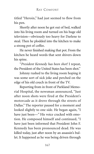titled "Heroin," had just seemed to flow from his pen.

Shortly after noon he got out of bed, walked into his living room and turned on his huge old television—obviously too heavy for Darlene to steal. Then he plodded into the kitchen to make a strong pot of coffee.

He never finished making that pot. From the kitchen he heard words that sent shivers down his spine.

"*President Kennedy has been shot!* I repeat, the President of the United States has been shot."

Johnny rushed to the living room hoping it was some sort of sick joke and perched on the edge of his old couch in front of the TV.

Reporting from in front of Parkland Memorial Hospital, the newsman announced, "Just after noon shots were fired at the President's motorcade as it drove through the streets of Dallas." The reporter paused for a moment and looked slightly to one side. He began again, "I have just been—" His voice cracked with emotion. He composed himself and continued, "I have just been informed that President John F. Kennedy has been pronounced dead. He was killed today, just after noon by an assassin's bullet. It happened as he was being driven through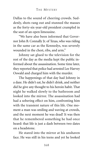Dallas to the sound of cheering crowds. Suddenly, shots rang out and stunned the masses as the forty-six-year-old president crumpled in the seat of an open limousine.

"We have also been informed that Governor John B. Connally Jr. of Texas, who was riding in the same car as the Kennedys, was severely wounded in the chest, ribs, and arm."

Johnny sat glued to the television for the rest of the day as the media kept the public informed about the assassination. Some time later, they reported that police had arrested Lee Harvey Oswald and charged him with the murder.

The happenings of that day had Johnny in a daze. He didn't eat, he didn't drink, and neither did he give any thought to his heroin habit. That night he walked slowly to the bathroom and looked into the mirror. The assassination had had a sobering effect on him, confronting him with the transient nature of this life. One moment a man was smiling and waving at crowds, and the next moment he was dead! It was then that he remembered something he had once heard: that life is just a dash between two dates on a headstone.

He stared into the mirror at his unshaven face. He was still in his teens and yet he looked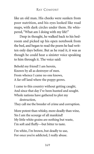like an old man. His cheeks were sunken from poor nutrition, and his eyes looked like road maps, with dark circles under them. He whispered, "What am I doing with my life!"

Deep in thought, he walked back to his bedroom and picked up his open notebook from the bed, and began to read the poem he had written only days before. But as he read it, it was as though he could hear a sinister voice speaking to him through it. The voice said:

Behold my friend! I am heroin, Known by all as destroyer of men. From whence I came no one knows, A far-off land where the poppy grows.

I came to this country without getting caught, And since that day I've been hunted and sought. Whole nations have gathered to plot my

destruction,

They call me the breeder of crime and corruption.

More potent than whisky, more deadly than wine, Yes I am the scourge of all mankind! My little white grains are nothing but waste, I'm soft and fluffy—but bitter to taste.

I'm white, I'm brown, but deadly to use, For once you're addicted, I really abuse.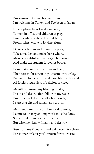### THE MYSTERY

I'm known in China, Iraq and Iran, I'm welcome in Turkey and I've been to Japan.

In cellophane bags I make my way, To men in office and children at play, From heads of state to lowliest bum, From richest estate to lowliest slum.

I take a rich man and make him poor, Take a maiden and make her a whore, Make a beautiful woman forget her looks, And make the student forget his books.

I can make you steal, borrow and beg, Then search for a vein in your arm or your leg. I'm known to the selfish and those filled with greed, All faceless regardless of religion or creed.

My gift is illusion, my blessing is fake, Death and destruction follow in my wake. I'm the kiss of death to all who I touch, I start as a gift and remain as a crutch.

My friends are many but I'm loyal to none, I come to destroy and my work must be done. Some think of me as merely a toy, But wise men know I maim and destroy.

Run from me if you wish—I will never give chase, For sooner or later you'll return for your taste.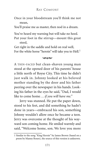Once in your bloodstream you'll think me not mean,

You'll praise me as master, then nod in a dream.

You've heard my warning but will take no heed.

Put your foot in the stirrup—mount this great steed,

Get right in the saddle and hold on real well, For the white horse "heroin" will take you to Hell.<sup>1</sup>

#### $\infty$

A THIN-FACED but clean-shaven young man stood at the opened door of his parents' house a little north of Royse City. This time he didn't just walk in. Johnny looked at his beloved mother standing by the door and his father peering over the newspaper in his hands. Looking his father in the eyes he said, "Dad, I would like to come home . . . *if you will have me."*

Jerry was stunned. He put the paper down, stood to his feet, and did something he hadn't done in years—embraced his son, something Johnny wouldn't allow once he became a teen. Jerry was overcome at the thought of his wayward son coming home. He smiled warmly and said, "Welcome home, son. We love you more

<sup>1</sup> Similar to the song "King Heroin" by James Brown (based on a poem by Manny Rosen), the source of this version is unknown.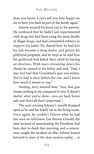than you know. I can't tell you how happy we are to have you back as part of the family again."

Johnny poured his heart out to his parents. He confessed that he hadn't just experimented with drugs but had been using the most deadly of illegal drugs, and had committed robbery to support his habit. He shared how he had lost his job, become a drug dealer, and gotten his girlfriend pregnant, and he wept as he told how his girlfriend had killed their child by having an abortion. With tears streaming down his cheeks he turned to his father and said, "Dad, I also feel bad that Granddad's gun was stolen. You've had it since before the war, and I know how much it meant to you."

Smiling, Jerry assured him, "Son, that gun means nothing to me compared to you. It doesn't matter what you've done—you are back home safe and that's all that's important."

The next evening Johnny's mouth dropped open as he and his family sat in the living room. Once again, he couldn't believe what he had just seen on television. Lee Harvey Oswald, the man accused of assassinating the President, had been shot to death that morning, and a cameraman caught the incident on film. Johnny leaned forward to stare at the slow-motion replay. . . at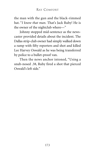the man with the gun and the black-rimmed hat. "*I know that man.* That's Jack Ruby! He is the owner of the nightclub where—"

Johnny stopped mid-sentence as the newscaster provided details about the incident. The Dallas strip-club owner had simply walked down a ramp with fifty reporters and shot and killed Lee Harvey Oswald as he was being transferred by police to a bullet-proof van.

Then the news anchor intoned, "Using a snub-nosed .38, Ruby fired a shot that pierced Oswald's left side."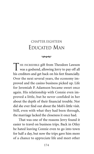## CHAPTER EIGHTEEN EDUCATED MAN

 $\infty$ 

THE INCREDIBLE gift from Theodore Lawson was a godsend, allowing Jerry to pay off all his creditors and get back on his feet financially. Over the next several years, the economy improved and the casino business picked up. Life for Ieremiah P. Adamson became sweet once again. His relationship with Connie even improved a little, but he never confided in her about the depth of their financial trouble. Nor did she ever find out about the Mob's little visit. Still, even with what they had been through, the marriage lacked the closeness it once had.

That was one of the reasons Jerry found it easier to travel on business trips. Back in Otley he hated leaving Connie even to go into town for half a day, but now the trips gave him more of a chance to appreciate life and meet other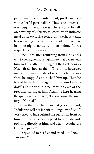people—especially intelligent, pretty women with colorful personalities. These encounters always began the same way. There would be talk on a variety of subjects, followed by an intimate meal at an exclusive restaurant, perhaps a gift, before ending up at a luxurious hotel. These were just one-night stands ... no harm done. It was respectable prostitution.

One night after returning from a business trip to Vegas, he had a nightmare that began with him and his father running out the back door as Nazis fired shots at them. This time, however, instead of running ahead when his father was shot, he stopped and picked him up. Then he found himself once again in the von Ludendorff's home with the penetrating eyes of the preacher staring at him. Again he kept hearing the question reverberate, "Do *you* know the mystery of Christ?"

Then the preacher glared at Jerry and said, "Adulterers will not inherit the kingdom of God!" Jerry tried to hide behind the person in front of him, but the preacher stepped to one side and, pointing directly at him, said again, "Adulterers God will judge."

Jerry stood to his feet and cried out, "No... I'm sorry!"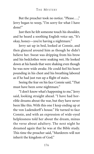But the preacher took no notice. "Please...," Jerry began to weep, "I'm sorry for what I have done!"

Just then he felt someone touch his shoulder, and he heard a soothing English voice say, "It's okay, honey—you're having a nightmare."

Jerry sat up in bed, looked at Connie, and then glanced around him as though he didn't believe her. Sweat was dripping from his brow and his bedclothes were soaking wet. He looked down at his hands that were shaking even though he was now wide awake. He could feel his heart pounding in his chest and his breathing labored as if he had just run up a flight of stairs.

Seeing the fear on his face Connie said,"That must have been *some* nightmare."

"I don't know what's happening to me," Jerry said, looking straight ahead. "I have had horrible dreams about the war, but they have never been like this. With this one I keep ending up at the von Ludendorff's house." He turned to face Connie, and with an expression of wide-eyed helplessness told her about the dream, minus the verse about adultery. The next night he dreamed again that he was at the Bible study. This time the preacher said, "Murderers will not inherit the kingdom of God."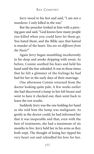Jerry stood to his feet and said, "I am not a murderer. I only killed in the war."

But the preacher looked at him with a piercing gaze and said, "God knows how many people you killed when you could have let them go. You hated them, and the Bible says that hatred is murder of the heart. *You are no different from the Nazis!"*

Again Jerry began mumbling incoherently in his sleep and awoke dripping with sweat. As before, Connie soothed his fears and held his hand until the fear subsided. It was in those times that he felt a glimmer of the feelings he had had for her in the early days of their marriage.

One afternoon Connie returned from the doctor looking quite pale. A few weeks earlier she had discovered a lump in her left breast and went to have it checked out, then went back to learn the test results.

Suddenly Jerry was the one holding *her* hand as she told him the lump was malignant. As gently as the doctor could, he had informed her that it was inoperable and that, even with the best of treatments, she had a maximum of six months to live. Jerry held her in his arms as they both wept. The thought of losing her ripped his very heart out and rekindled his love for her.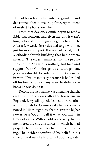He had been taking his wife for granted, and determined then to make up for every moment of neglect he had shown her.

From that day on, Connie began to read a Bible that someone had given her, and it wasn't long before she was regularly going to church. After a few weeks Jerry decided to go with her, just for moral support. It was an old, cold, brick Methodist church building that had a warm interior. The elderly minister and the people showed the Adamsons nothing but love and support. With Connie's gentle encouragement, Jerry was also able to curb his use of God's name in vain. This wasn't easy because it had rolled off his tongue for so many years, he didn't even know he was doing it.

Despite the fact that he was attending church, and despite his prayer after the house fire in England, Jerry still quietly leaned toward atheism, although for Connie's sake he never mentioned it. His thought was that we create a higher power, or a "God"—call it what you will—in times of crisis. With a cold objectivity, he remembered the circumstances in which he had prayed when his daughter had stopped breathing. The incident confirmed his belief: in his time of weakness he had called upon a greater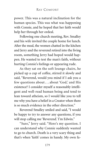power. This was a natural inclination for the human species. This was what was happening with Connie, and he hoped that her faith would help her through her ordeal.

Following one church meeting, Rev. Smalley and his wife invited the couple home for lunch. After the meal, the women chatted in the kitchen and Jerry and the reverend retired into the living room, something Jerry had hoped would happen. He wanted to test the man's faith, without hurting Connie's feelings or appearing rude.

As they sat on the soft lounge chairs, he picked up a cup of coffee, stirred it slowly and said, "Reverend, would you mind if I ask you a few questions about ... about 'God,' and His existence? I consider myself a reasonably intelligent and well-read human being and tend to lean toward atheism, so I would like you to tell me why you have a belief in a Creator when there is so much evidence in the other direction."

Reverend Smalley smiled and said, "I would be happy to try to answer any questions, if you will stop calling me 'Reverend.' I'm Edwin."

"Sure," Jerry said. "Here's my question. I can understand why Connie suddenly wanted to go to church. Death is a very scary thing and that's when 'faith' comes in handy. My own fa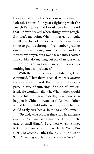ther prayed when the Nazis were heading for Poland. I spent four years fighting with the French Resistance, and I would be a liar if I said that I never prayed when things were tough. But that's my point. When things get difficult, we all need to look to 'God' or the bottle—something to pull us through. I remember praying once and even being convinced that God answered my prayer, but I was backed into a corner and couldn't do anything but pray. I'm sure what I then thought was an answer to prayer was nothing but a coincidence."

With the minister patiently listening, Jerry continued. "Then there is actual evidence *against* the existence of God. First, there is the everpresent issue of suffering. If a God of love existed, He wouldn't allow it. What father would let his children starve to death, as we have seen happen in China in years past? Or what father would let his child suffer with cancer when he could easily cure her, as in the case of Connie?

"Second, what proof is there for His existence anyway? You can't see Him, hear Him, touch, taste, or smell Him. All I ever hear when it comes to God is, 'You've got to have faith.' Well, I'm sorry, Reverend ... uh, Edwin ... I don't want 'faith.' I want good, hard, concrete *evidence*."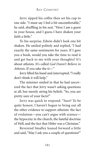Jerry sipped his coffee then set his cup to one side. "I must say I feel a bit uncomfortable," he said, shuffling in his seat. "Here I am a guest in your house, and I guess I have shaken your faith a little"

To his surprise, Edwin didn't look one bit shaken. He smiled politely and replied, "I had exactly the same sentiments for years. If I gave you a book, would you take the time to read it and get back to me with your thoughts? It's about atheists. It's called *God Doesn't Believe in Atheists*. If you take the ti—"

Jerry lifted his hand and interrupted,"I really don't think it will help."

The minister smiled in that he had uncovered the fact that Jerry wasn't asking questions at all, but merely airing his beliefs. "So, you are pretty sure of your facts?"

Jerry was quick to respond. "Sure? To be quite honest, I haven't begun to bring out all the other evidence to support atheism: the fact of evolution—you can't argue with science the hypocrisy in the church, the hateful doctrine of Hell, and the fact that Hitler was a Christian."

Reverend Smalley leaned forward a little and said, "May I ask you a couple of questions?"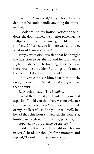"Why not? Go ahead," Jerry retorted, confident that he could handle anything the minister had.

"Look around my house. Notice the windows, the door frames, the interior paneling, the wallpaper, the electrical wiring, the tiles on the roof, etc. If I asked you if there was a builder, what would you say to me?"

Jerry's expression revealed that he thought the question to be absurd and he said with a slight impatience, "The building *exists;* therefore there *must* be a builder. Buildings don't make themselves. I don't see your point."

"But you can't see him, hear him, touch, taste, or smell him. What actual *proof* is there that he exists?"

Jerry quietly said, "The *building*."

"What then would you think of my mental capacity if I told you that there was no evidence that there was a builder? What would you think of my intellect if I said to you that I *really* believed that this house—with all the concrete, lumber, nails, glass, door frames, paneling, etc. —happened by pure chance, *by accident?*"

Suddenly, it seemed like a light switched on in Jerry's head. He thought for a moment and replied, "I would think you were a fool."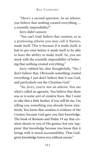"Here's a second question. As an atheist, you believe that nothing created everything . . . a scientific impossibility?"

Jerry didn't answer.

"You can't truly believe that creation, or as a professing atheist you may call it Nature, made itself. This is because if it made itself, it had to pre-exist before it made itself to be able to have the ability to make itself. So, you are stuck with the scientific impossibility of believing that nothing created everything."

Jerry rubbed his chin thoughtfully. "No, I don't believe that. Obviously something created everything; I just don't believe that it was God, and particularly not the Christian God."

"So, Jerry, you're not an atheist. You are what's called an agnostic. You believe that there was or is some sort of creative force. But I want to take that a little further, if you will let me. I'm telling you something you already know intuitively. You know that creation is evidence of the Creator, because God gave you that knowledge. The book of Romans and Psalm 19 say that creation shouts to you of His genius, but you 'suppress' that knowledge because you know that it brings with it moral accountability. That Godgiven knowledge leaves you without excuse."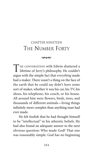# CHAPTER NINETEEN THE NUMBER FORTY

#### $\infty$

THE CONVERSATION with Edwin shattered a lifetime of Jerry's philosophy. He couldn't argue with the simple fact that *everything* made had a maker. There wasn't a thing on the face of the earth that he could say didn't have some sort of maker, whether it was his car, his TV, his shoes, his telephone, his couch, or his house. All around him were flowers, birds, trees, and thousands of different animals—living things infinitely more complex than anything man had ever made.

He felt foolish that he had thought himself to be "intellectual" in his atheistic beliefs. He had also found an adequate answer to the next obvious question: Who made God? That one was reasonably simple. God has no beginning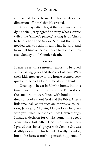and no end. He is eternal. He dwells outside the dimension of "time" that He created.

A few days after this, at the insistence of his dying wife, Jerry agreed to pray what Connie called the "sinner's prayer," asking Jesus Christ to be his Lord and Savior. She said that all he needed was to really mean what he said, and from that time on he continued to attend church each Sunday until Connie's death.

#### $\infty$

IT HAD BEEN three months since his beloved wife's passing. Jerry had shed a lot of tears. With their kids now grown, the house seemed very quiet and he had a lot of time alone to think.

Once again he sat in Edwin's home, but this time it was in the minister's study. The walls of the small room were lined with books—hundreds of books about God and the Bible. After a little small talk about such an impressive collection, Jerry said, "Edwin, I know I can be open with you. Since Connie died...well, even though I made a 'decision for Christ' some time ago, I seem to have lost faith in God. I was sincere when I prayed that sinner's prayer with Connie. She was deathly sick and so for her sake I really meant it, but to be honest nothing much happened. I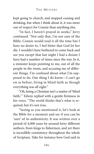kept going to church, and stopped cussing and drinking, but when I think about it, it was more out of respect for Connie than anything else.

"In fact, I haven't prayed in weeks," Jerry continued. "Not only that, I'm not sure of the Bible. Connie would read it all the time but I have no desire to. I feel bitter that God let her die. I wouldn't have bothered to come back and see you except that last night I had a dream I have had a number of times since the war. In it, a minister keeps pointing to me, out of all the people in the room, and accusing me of different things. I'm confused about what I'm supposed to do. One thing I do know—I can't go on as before, living in blind faith as though everything was all right."

"Oh, being a Christian isn't a matter of 'blind faith,'" Edwin replied with a gentle firmness in his voice. "The world thinks that's what is required, but it's not true.

"Seeing as you mentioned it, let's look at the Bible for a moment and see if you can be 'sure' of its authenticity. It was written over a period of 4,000 years by around forty different authors, from kings to fishermen, and yet there is incredible consistency throughout the whole of Scripture. Take for instance how God said in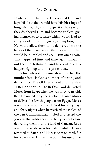Deuteronomy that if the Jews obeyed Him and kept His Law they would have His blessings of long life, health, and prosperity. However, if they disobeyed Him and became godless, giving themselves to idolatry which would lead to all types of sexual sin, greed, corruption, etc., He would allow them to be delivered into the hands of their enemies, so that, as a nation, they would be humbled and seek Him once again. This happened time and time again throughout the Old Testament, and has continued to happen right up until this present day.

"One interesting consistency is that the number forty is God's number of testing and deliverance. The Old Testament and the New Testament harmonize in this. God delivered Moses from Egypt when he was forty years old, then He waited forty years before He used Moses to deliver the Jewish people from Egypt. Moses was on the mountain with God for forty days and forty nights when he received the tablets of the Ten Commandments. God also tested the Jews in the wilderness for forty years before delivering them into the land of Canaan. Jesus was in the wilderness forty days while He was tempted by Satan, and He was seen on earth for forty days after His resurrection. This use of the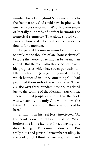number forty throughout Scripture attests to the fact that only God could have inspired such unerring consistency—and it's only one example of literally hundreds of perfect harmonies of numerical symmetry. That alone should convince an honest skeptic to at least set aside his doubts for a moment."

He paused his mini-sermon for a moment to smile at the thought of an "honest skeptic," because they were so few and far between, then added, "But there are also thousands of infallible prophecies which have been perfectly fulfilled, such as the Jews getting Jerusalem back, which happened in 1967, something God had promised thousands of years previous. There are also over three hundred prophecies related just to the coming of the Messiah, Jesus Christ. These fulfilled prophecies *prove* that the book was written by the only One who knows the future. And there is something else you need to hear"

Sitting up in his seat Jerry interjected, "At this point I don't doubt God's existence. What bothers me is the fact that I keep having this dream telling me I'm a sinner! I don't get it; I'm really not a bad person. I remember reading, in the book of Job I think, where he said that God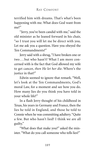terrified him with dreams. That's what's been happening with me. What does God want from me?"

"Jerry, you've been candid with me," said the old minister as he leaned forward in his chair, "so I trust you will let me be direct with you. Let me ask you a question. Have you obeyed the Ten Commandments?"

Jerry said with a shrug,"I have broken one or two . . . but who hasn't? What I am more concerned with is the fact that God allowed my wife to get cancer, *then He let her die*. Where's the justice in that?"

Edwin seemed to ignore that remark. "Well, let's look at the Ten Commandments, God's moral Law, for a moment and see how you do. How many lies do you think you have told in your whole life?"

In a flash Jerry thought of his childhood in Texas, his years in Germany and France, then the lies he told in England, and those he told to Connie when he was committing adultery."Quite a few. But who hasn't lied? I think we are all guilty."

"What does that make you?" asked the minister. "What do you call someone who tells lies?"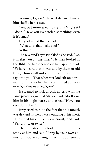"A sinner, I guess." The next statement made him shuffle in his seat.

"Yes, but more specifically. . . a *liar*," said Edwin. "Have you ever stolen something, even if it's small?"

Jerry admitted that he had.

"What does that make you?"

"A thief"

The reverend's eyes twinkled as he said, "No, it makes you a *lying* thief." He then looked at the Bible he had opened on his lap and read: "Ye have heard that it was said by them of old time, Thou shalt not commit adultery: But I say unto you, That whosever looketh on a woman to lust after her hath committed adultery with her already in his heart."

He seemed to look directly at Jerry with the same piercing gaze that Mr. von Ludendorff gave him in his nightmares, and asked, "Have you ever done that?"

Jerry tried to hide the fact that his mouth was dry and his heart was pounding in his chest. He rubbed his chin self-consciously and said, "Yes . . . once or twice."

The minister then looked even more intently at him and said, "Jerry, by your own admission, you are a lying, thieving, adulterer at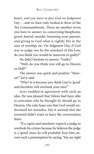heart, *and you have to face God on Judgment Day* . . . and we have only looked at three of the Ten Commandments. There are another seven you have to answer to, concerning blasphemy, greed, hatred, murder, honoring your parents, and giving to God what is rightly His in the area of worship, etc. On Judgment Day, if God was to judge you by the standard of His Law, do you think you would be innocent or guilty?"

He didn't hesitate to answer. "Guilty."

"Well, do you think you will go to Heaven or Hell?"

The answer was quick and positive: "Heaven!" Jerry said.

"Why? Is it because you think God is 'good' and therefore will overlook your sins?"

Jerry nodded in agreement with such an idea. He was pleased that Edwin had been able to articulate why he thought he should go to Heaven. His only hope was that God would understand his mistakes, but it seemed that the reverend didn't want to leave the conversation there.

"If a rapist and murderer expects a judge to overlook his crimes because he believes the judge is a 'good' man, he will probably hear him answer such a presumption by saying,'You are right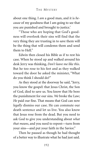about one thing. I *am* a good man, and it is *because* of my goodness that I am going to see that you are punished and brought to justice.'

"Those who are hoping that God's goodness will overlook their sins will find that the very thing they are trusting in to save them will be the thing that will condemn them and send them to Hell"

Edwin then closed his Bible as if to rest his case. When he stood up and walked around his desk Jerry was thinking, *Don't leave me like this*. But he too rose to his feet and as they walked toward the door he asked the minister, "What do you think I should do?"

As they stood at the doorway he said, "Jerry, you know the gospel: that Jesus Christ, the Son of God, died to save us. You know that He bore the punishment for our sins. *We* broke the Law; *He* paid our fine. That means that God can now *legally* dismiss our case. He can commute our death sentence and let us live. You also know that Jesus rose from the dead. But you need to ask God to give you understanding about *what that means*, and you need to repent—turn from your sins—and put your faith in the Savior."

Then he paused as though he had thought of a better way to illustrate what he had just said.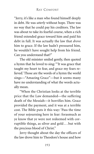"Jerry, it's like a man who found himself deeply in debt. He was *utterly* without hope. There was no way that he could pay his creditors. The law was about to take its fearful course, when a rich friend extended grace toward him and paid his debt in full. It was actually the law that *drove* him to grace. If the law hadn't pressured him, he wouldn't have sought help from his friend. Can you understand that?"

The old minister smiled gently, then quoted a hymn that he loved to sing: "'It was grace that taught my heart to fear, and grace my fears relieved.' Those are the words of a hymn the world sings—"Amazing Grace"—but it seems many have no understanding of what the words actually mean.

"When the Christian looks at the terrible price that the Law demanded—the suffering death of the Messiah—it horrifies him. Grace provided the payment, and it was at a terrible cost. The Bible puts it this way: 'Pass the time of your sojourning here in fear: forasmuch as ye know that ye were not redeemed with corruptible things, as silver and gold ... but with the precious blood of Christ."

Jerry thought about the day the officers of the law drove him to Theodore's house and how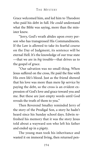Grace welcomed him, and led him to Theodore who paid his debt in full. He *could* understand what the Bible was saying, more than the minister knew.

"Jerry, God's wrath abides upon every person who has transgressed His Commandments. If the Law is allowed to take its fearful course on the Day of Judgment, its sentence will be eternal Hell. It's the knowledge of our true state —that we are in *big* trouble—that drives us to the gospel of grace.

"Our salvation was no small thing. When Jesus suffered on the cross, He paid the fine with His own life's blood. Just as the friend showed that his love was more than mere lip service by paying the debt, so the cross is an evident expression of God's love and grace toward you and me. But these are just empty words until God reveals the truth of them to you."

Then Reverend Smalley reminded Jerry of the story of the Prodigal Son, a story he hadn't heard since his Sunday school days. Edwin refreshed his memory that it was the story Jesus told about a wayward son who left his father and ended up in a pigsty.

The young man took his inheritance and wasted it on immoral living, then returned pen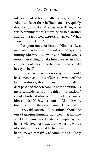niless and asked for his father's forgiveness. As Edwin spoke of the rebellious son, Jerry quietly thought about *Johnny's* experience. Then, as he was beginning to walk away, he turned around and with a troubled expression asked, "What should I say to God?"

"Just pour out your heart to Him. It's like a man who has betrayed his wife's trust by committing adultery. His loving and faithful wife is more than willing to take him back, so in what attitude should he approach her, and what should he say to her?"

Jerry knew there was no way Edwin could have known about his affairs. He wrote off the first two stories, about the man who had all his debt paid and the son coming home destitute, as mere coincidence. But the third "illustration," about a husband who committed adultery, made him shudder. He *had* been unfaithful to his wife, but only he and the other women knew that.

Jerry said contritely, "His attitude should be one of genuine humility, humbled that his wife would take him back. He should simply say that he has violated her trust, that he has no words of justification for what he has done... and that he will never even *think* of committing adultery again."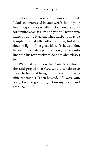"Go and do likewise," Edwin responded. "God isn't interested in your words, but in your heart. Repentance is telling God you are sorry for sinning against Him and you will never even *think* of doing it again. That husband may be tempted to lust after other women, but if he does, in light of the grace his wife showed him, he will immediately pull his thoughts back into line with his new resolve to do only what pleases her"

With that, he put one hand on Jerry's shoulder and prayed that God would continue to speak to him and bring him to a point of genuine repentance. Then he said, "If I were you, Jerry, I would go home, get on my knees, and read Psalm 51."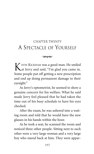### CHAPTER TWENTY A SPECTACLE OF YOURSELF

#### $\infty$

KEVIN KICKHAM was a good man. He smiled at Jerry and said, "I'm glad you came in. Some people put off getting a new prescription and end up doing permanent damage to their eyesight."

As Jerry's optometrist, he seemed to show a genuine concern for his welfare. What he said made Jerry feel pleased that he had taken the time out of his busy schedule to have his eyes checked.

After the exam, he was ushered into a waiting room and told that he would have the new glasses in his hands within the hour.

As he took a seat, he scanned the room and noticed three other people. Sitting next to each other were a very large woman and a very large boy who stared back at him. They were appar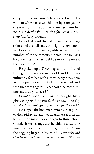ently mother and son. A few seats down sat a woman whose face was hidden by a magazine she was holding a couple of inches from her nose. *No doubt she's waiting for her new prescription*, Jerry thought.

He looked beside him at the mound of magazines and a small stack of bright yellow bookmarks carrying the name, address, and phone number of the optometrist. Across the top was boldly written "What could be more important than your eyes?"

He picked up a *Time* magazine and flicked through it. It was two weeks old, and Jerry was intimately familiar with almost every news item in it. He put it down, picked up a bookmark and read the words again: "What could be more important than your eyes?"

*I would hate to be blind*, he thought. *Imagine seeing nothing but darkness until the day you die. I wouldn't give up my eyes for the world.*

He slipped the bookmark into his coat pocket, then picked up another magazine, set it on his lap, and for some reason began to think about Connie. It was strange that he didn't realize how much he loved her until she got cancer. Again the nagging began in his mind: *Why? Why did God let her die? She was a good woman. She was*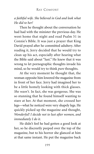### *a faithful wife. She believed in God and look what He did to her!*

Then he thought about the conversation he had had with the minister the previous day. He went home that night and read Psalm 51 in Connie's Bible. It was just a prayer that King David prayed after he committed adultery. After reading it, Jerry decided that he would try to clean up his act, especially after hearing what the Bible said about "lust." He knew that it was wrong to let pornographic thoughts invade his mind, so he would try to think *pure* thoughts.

At the very moment he thought that, the woman opposite him lowered the magazine from in front of her face. Jerry had imagined her to be a little homely looking with thick glasses. *She wasn't.* In fact, she was gorgeous. She was so stunning that he found himself wanting to stare at her. At that moment, she crossed her legs—what he noticed were very shapely legs. He quickly picked up the magazine and thought, *Wonderful! I decide not to lust after women, and immediately I do it.*

He didn't feel he had gotten a good look at her, so he discreetly peeped over the top of the magazine, but to his horror she glanced at him at that same instant. He put the magazine back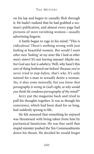on his lap and began to casually flick through it. He hadn't realized that he had grabbed a woman's publication, and almost every page had pictures of *more* ravishing women—usually advertising lingerie.

A battle began to rage in his mind: "This is ridiculous! There's nothing wrong with just *looking* at beautiful women. *But would I want other men 'looking' at my sister like I look at other men's sisters?* It's not *hurting* anyone! *Maybe not, but God says lust is adultery.* Well, why hasn't this sort of thing bothered me before? *Because you've never tried to stop before, that's why.* It's only natural for a man to sexually desire a woman. *Yes, it does come naturally, but you know that pornography is wrong in God's sight, so why would you think He condones pornography of the mind?*"

Jerry put the magazine back and tried to pull his thoughts together. It was as though his conscience, which had been dead for so long, had suddenly sprung to life.

He felt annoyed that something he enjoyed was threatened with being taken from him by puritanical fanaticism. He was fine until that stupid minister pushed the Ten Commandments down his throat. He decided he would forget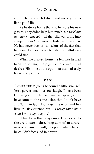about the talk with Edwin and merely try to live a good life.

As he drove home that day he wore his new glasses. They didn't help him much. *Dr. Kickham had done a fine job*—all they did was bring into sharper focus *how much* he lusted after women. He had never been so conscious of the fact that he desired almost every female his lustful eyes could find.

When he arrived home he felt like he had been wallowing in a pigsty of his own sinful desires. His time at the optometrist's had truly been eye-opening.

#### $\infty$

"EDWIN, THIS IS going to sound a little strange." Jerry gave a small nervous laugh. "I have been thinking about the last time we spoke, and I have come to the conclusion that I don't have any 'faith' in God. Don't get me wrong—I believe in His existence, but...*I really don't know what I'm trying to say. . ."*

It had been three days since Jerry's visit to the eye doctor—three long days of an awareness of a sense of guilt, to a point where he felt he couldn't face God in prayer.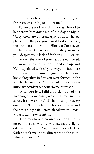"I'm sorry to call you at dinner time, but this is *really* starting to bother me."

Edwin assured him that he was pleased to hear from him *any* time of the day or night. "Jerry, there are different *types* of faith," he explained. "In the past you denied God's existence, then you became aware of Him as a Creator, yet all that time *He* has been intimately aware of you, despite your lack of faith in Him. For example, even the hairs of your head are numbered. He knows when you sit down and rise up, and He's acquainted with *all* your ways. In fact, there is not a word on your tongue that He doesn't know altogether. Before you were formed in the womb, He knew you. You are not just some evolutionary accident without rhyme or reason.

"After you left, I did a quick study of the meaning of your name, which has real significance. It shows how God's hand is upon every one of us. This is what my book of names and their meanings said: Jeremiah Adamson—*Jehovah will exalt, son of Adam.*

"God may have even used you for His purposes in the past without you having the slightest awareness of it. No, Jeremiah, your lack of faith doesn't make any difference to the faithfulness of God ..."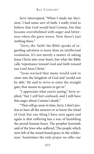Jerry interrupted, "When I made my 'decision,' I had some sort of faith. I really tried to believe that God would heal Connie, but that became overwhelmed with anger and bitterness when she grew worse. Now there's just nothing there."

"Jerry, the 'faith' the Bible speaks of regarding salvation is more than an intellectual resolution. It's not merely a matter of asking Jesus Christ into your heart, but what the Bible calls 'repentance toward God and faith toward our Lord Jesus Christ.'

"Jesus warned that many would seek to enter into the kingdom of God and 'would not be able.' He said to *strive* to enter the straight gate; that means to *agonize* to get in."

"I appreciate what you're saying," Jerry replied, "but I *still* feel confused, and I still have this anger about Connie's death."

"That will go away in time. Jerry, I don't profess to have all the answers or to know the mind of God, but one thing I have seen again and again is that suffering has a way of humbling the proud human heart. The prophet Jeremiah said of the Jews who suffered, 'The people which were left of the sword found grace in the wilderness.' Sometimes the only prayer we offer our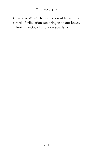Creator is 'Why?' The wilderness of life and the sword of tribulation can bring us to our knees. It looks like God's hand is on you, Jerry."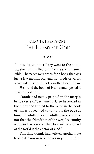# CHAPTER TWENTY-ONE THE ENEMY OF GOD

 $\infty$ 

L ATER THAT NIGHT Jerry went to the book-shelf and pulled out Connie's King James Bible. The pages were worn for a book that was just a few months old, and hundreds of verses were underlined with notes written beside them.

He found the book of Psalms and opened it again to Psalm 51.

Connie had neatly printed in the margin beside verse 4, "See James 4:4," so he looked in the index and turned to the verse in the book of James. It seemed to jump off the page at him: "Ye adulterers and adulteresses, know ye not that the friendship of the world is enmity with God? whosoever therefore will be a friend of the world is the enemy of God."

This time Connie had written another note beside it: "You were 'enemies in your mind by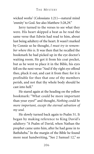wicked works' (Colossians 1:21)—natural mind 'enmity' to God. See also Matthew 5:28,29."

Jerry turned to the verses to see what they were. His heart skipped a beat as he read the same verse that Edwin had read to him, about lust being adultery of the heart. It wasn't marked by Connie so he thought, *I must try to remember where this is*. It was then that he recalled the bookmark he had picked up in the eye doctor's waiting room. He got it from his coat pocket, but as he went to place it in the Bible, his eyes fell on the next verse: "And if thy right eye offend thee, pluck it out, and cast it from thee: for it is profitable for thee that one of thy members perish, and not that thy whole body should be cast into hell."

He stared again at the heading on the yellow bookmark: "What could be more important than your eyes?" and thought, *Nothing could be more important, except the eternal salvation of my soul.*

He slowly turned back again to Psalm 51. It began by making reference to King David's adultery: "A Psalm of David, when Nathan the prophet came unto him, after he had gone in to Bathsheba." In the margin of the Bible he found more neat handwriting, "See 2 Samuel 12," so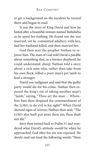to get a background on the incident he turned there and began to read.

It was the story of King David and how he lusted after a beautiful woman named Bathsheba as he spied her bathing. He found out she was married, yet he committed adultery with her, had her husband killed, and then married her.

God then sent the prophet Nathan to reprove him. The man of God told David a parable about something that, as a former shepherd, he could understand: sheep. Nathan told a story about a rich man who, rather than take from his own flock, killed a poor man's pet lamb to feed a stranger.

David was indignant and said that the guilty party would die for his crime. Nathan then exposed the king's sin of taking another man's "lamb," saying, "Thou art the man . . . Wherefore hast thou despised the commandment of the LORD, to do evil in his sight?" When David showed signs of sorrow, Nathan then said, "The LORD also hath put away thou sin; thou shalt not die."

Jerry then turned back to Psalm 51 and wondered what David's attitude would be when he approached God after his sin was exposed. He slowly read out loud the following words: "Have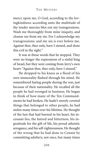mercy upon me, O God, according to thy lovingkindness: according unto the multitude of thy tender mercies blot out my transgressions. Wash me thoroughly from mine iniquity, and cleanse me from my sin. For I acknowledge my transgressions: and my sin is ever before me. Against thee, thee only, have I sinned, and done this evil in thy sight."

It was at those words that he stopped. They were no longer the expressions of a sinful king of Israel, but they were coming from Jerry's own heart: "Against thee, thee only, have I sinned."

He dropped to his knees as a flood of his own immorality flashed through his mind. He remembered hating people during the war, just because of their nationality. He recalled all the people he had wronged in business. He began to think of how many of the Ten Commandments he had broken. He hadn't merely coveted things that belonged to other people, he had stolen many times over his lifetime. He thought of the lust that had burned in his heart, his incessant lies, the hatred and bitterness, his ingratitude for the gift of life, his proud atheistic arrogance, and his self-righteousness. He thought of the wrong that he had done to Connie by committing adultery, not once, but many times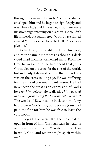through his one-night stands. A sense of shame enveloped him and he began to sigh deeply and weep like a little child. It seemed that there was a massive weight pressing on his chest. He couldn't lift his head, but stammered,"God, I have sinned against You! I deserve to go to Hell. Please forgive me."

As he did so, the weight lifted from his chest, and at the same time it was as though a dark cloud lifted from his tormented mind. From the time he was a child, he had heard that Jesus Christ died on the cross for the sins of the world, but suddenly it dawned on him that when Jesus was on the cross so long ago, He was suffering for the sins of Jeremiah P. Adamson. He had never seen the cross as an expression of God's love *for him* before! He realized, *This was God in human form taking the punishment due to me!* The words of Edwin came back to him: Jerry had broken God's Law, but because Jesus had paid the fine for him he was free to leave the courtroom.

His eyes fell on verse 10 of the Bible that lay open in front of him. Through tears he read its words as his own prayer: "Create in me a clean heart, O God; and renew a right spirit within me."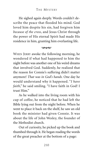He sighed again deeply. Words couldn't describe the peace that flooded his mind. God loved him despite his sin, had forgiven him *because of the cross*, and Jesus Christ through the power of His eternal Spirit had made His residence in him, granting him everlasting life.

#### بممحا

WHEN JERRY awoke the following morning, he wondered if what had happened to him the night before was another one of his weird dreams that involved God. Suddenly, he realized that the reason for Connie's suffering didn't matter anymore! *That was in God's hands.* One day he would understand why it happened. "*I have faith*," he said smiling. "I have faith in God! I trust Him"

As he walked into the living room with his cup of coffee, he noticed that he had left the Bible lying out from the night before. When he went to place it back on the shelf, he saw an old book the minister had given Connie. It was about the life of John Wesley, the founder of the Methodist church.

Out of curiosity, he picked up the book and thumbed through it. He began reading the words of the great preacher at the bottom of a page: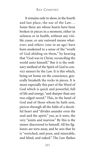It remains only to show, in the fourth and last place, the use of the Law... Some there are whose hearts have been broken in pieces in a moment, either in sickness or in health, without any visible cause, or any outward means whatever; and others (one in an age) have been awakened to a sense of the "wrath of God abiding on them," by hearing that "God was in Christ, reconciling the world unto himself." But it is the ordinary method of the Spirit of God to convict sinners by the Law. It is this which, being set home on the conscience, generally breaketh the rocks in pieces. It is more especially this part of the Word of God which is quick and powerful, full of life and energy, "and sharper than any two-edged sword." This, in the hand of God and of those whom he hath sent, pierces through all the folds of a deceitful heart and "divides asunder even the soul and the spirit;" yea, as it were, the very "joints and marrow." By this is the sinner discovered to himself. All his figleaves are torn away, and he sees that he is "wretched, and poor, and miserable, and blind, and naked." The Law flashes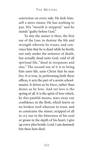conviction on every side. He feels himself a mere sinner. He has nothing to pay. His "mouth is stopped," and he stands "guilty before God."

To slay the sinner is then, the first use of the Law; to destroy the life and strength wherein he trusts, and convince him that he is dead while he liveth; not only under the sentence of death, but actually dead unto God, void of all spiritual life, "dead in trespasses and sins." The second use of it is to bring him unto life, unto Christ that he may live. It is true, in performing both these offices, it acts the part of a severe schoolmaster. It drives us by force, rather than draws us by love. And yet love is the spring of all. It is the spirit of love which, by this painful means, tears away our confidence in the flesh, which leaves us no broken reed whereon to trust, and so constrains the sinner, stripped of all to cry out in the bitterness of his soul or groan in the depth of his heart, I give up every plea beside, Lord, I am damned; but thou hast died.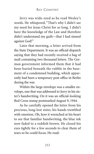Jerry was wide-eyed as he read Wesley's words. He whispered, "That's why I didn't see my need for Jesus Christ for so long. I didn't have the knowledge of the Law and therefore didn't understand my guilt—that I had sinned against God!"

Later that morning, a letter arrived from the State Department. It was an official dispatch saying that they had recently received a bag of mail containing two thousand letters. The German government informed them that it had been buried beneath the rubble in the basement of a condemned building, which apparently had been a temporary post office in Berlin during the war.

Within the large envelope was a smaller envelope, one that was addressed to Jerry in his sister's handwriting. On it was an official-looking Red Cross stamp postmarked August 9, 1944.

As he carefully opened the letter from his precious, long-lost sister, his hands trembled with emotion. Oh, how it wrenched at his heart to see that familiar handwriting, the blue ink now faded to a reddish brown. He closed his eyes tightly for a few seconds to clear them of tears so he could focus. He read: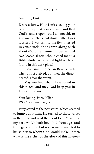### August 7, 1944

Dearest Jerry, How I miss seeing your face. I pray that you are well and that God's hand is upon you. I am not able to give many details, but shortly after I was arrested, I was sent to the flea-infested Ravensbrück labor camp along with about 400 other women. I befriended two Jewish sisters who invited me to a Bible study. What great light we have found in this dark place!

I saw Grandmother in Ravensbrück when I first arrived, but then she disappeared. I fear the worst.

May you find what I have found in this place, and may God keep you in His caring arms.

Your loving sister, Lillian P.S. Colossians 1:26,27

Jerry stared at the postscript, which seemed to jump out at him. He turned to those verses in the Bible and read them out loud: "Even the mystery which hath been hid from ages and from generations, but now is made manifest to his saints: to whom God would make known what is the riches of the glory of this mystery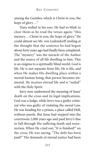among the Gentiles; which is Christ in you, the hope of glory..."

Tears welled in his eyes. He had to blink to clear them as he read the verses again: "this mystery. . . Christ in you, the hope of glory." He could almost see Mr. von Ludendorff smiling at the thought that the sentence he had begun about forty years ago had finally been completed. The "mystery" was the miracle of the Author and the source of all life dwelling in him. This is an enigma to a spiritually blind world. God is life. He is not separate from life, He is life, and when He makes His dwelling place within a mortal human being, that person becomes immortal. He receives eternal life and is "sealed" with the Holy Spirit.

Jerry now understood the meaning of Jesus' death on the cross and its legal implications. God was a Judge, while Jerry was a guilty criminal who was guilty of violating the moral Law. He was heading for a prison, a place called Hell, without parole. But Jesus had stepped into the courtroom 2,000 years ago and paid Jerry's fine in full through His suffering death and resurrection. When He cried out, "It is finished!" on the cross, He was saying, "The debt has been paid!" The demands of eternal justice had been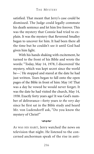satisfied. That meant that Jerry's case could be dismissed. The Judge could legally commute his death sentence and let him live forever. This was the mystery that Connie had tried to explain. It was the mystery that Reverend Smalley began to uncover for him. It had been there all the time but he couldn't see it until God had given him light.

With his hands shaking with excitement, he turned to the front of his Bible and wrote the words: "Today, May 14, 1978, I discovered 'the mystery, which was kept secret since the world be—.' He stopped and stared at the date he had just written. Tears began to fall onto the open pages of the Bible in front of him: May 14! That was a day he vowed he would never forget. It was the date he had visited the church, May 14, 1938. Exactly forty years ago! It was God's number of deliverance—forty years *to the very day* since he first sat in the Bible study and heard Mr. von Ludendorff ask, "Do you know the mystery of Christ?"

#### $\infty$

AS WAS HIS HABIT, Jerry watched the news on television that night. He listened to the concerned anchorman speak of the rise in anti-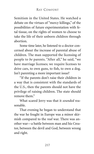Semitism in the United States. He watched a debate on the virtues of "mercy killings," of the possibilities of future experimentation with fetal tissue, on the rights of women to choose to take the life of their unborn children through abortion.

Some time later, he listened to a doctor concerned about the increase of parental abuse of children. The man supported the licensing of people to *be* parents. "After all," he said, "we have marriage licenses; we require licenses to drive cars, to own guns, to fish, to own a dog. Isn't parenting a more important issue?

"If the parents don't raise their children in a way that is consistent with the standards of the U.S., then the parents should not have the privilege of raising children. The state should remove them<sup>"</sup>

What scared Jerry was that it *sounded* reasonable.

That evening he began to understand that the war he fought in Europe was a minor skirmish compared to the *real* war. There was another war—a battle between man and his Creator, between the devil and God, between wrong and right.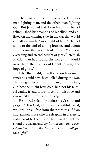There were, in truth, two wars. One was man fighting man, and the other, man fighting God. But Jerry had laid down his arms. He had relinquished his weapons of rebellion and enlisted on the winning side, in the war that would end all wars—the "good fight of faith." He had come to the end of a long journey and begun another one that would lead him to a "far more exceeding and eternal weight of glory." Jeremiah P. Adamson had found the glory that would *never* fade: the mystery of Christ in him, "the hope of glory."

Later that night, he reflected on how many times he could have been killed during the war. He thought deeply about the night of the fire, and how he might have died, had not his faithful canine friend broken free from his rope and awakened him from a deep sleep.

He bowed solemnly before his Creator and prayed: "Dear God, let me be as a faithful friend, who will break free from the restraints of fear, and awaken those who are sleeping in darkness, indifferent to the 'fire of Your wrath.' Let me sound the alarm, and cry, *'Awake thou that sleepest, and arise from the dead, and Christ shall give thee light!'*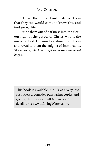"Deliver them, dear Lord . . . deliver them that they too would come to know You, and find eternal life.

"Bring them out of darkness into the glorious light of the gospel of Christ, who is the image of God. Let Your face shine upon them and reveal to them the enigma of immortality, *'the mystery, which was kept secret since the world began.'"*

This book is available in bulk at a very low cost. Please, consider purchasing copies and giving them away. Call 800-437-1893 for details or see www.LivingWaters.com.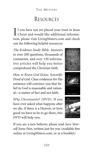## THE MYSTERY

## RESOURCES

If you have not yet placed your trust in Jesus Christ and would like additional information, please visit LivingWaters.com and check out the following helpful resources:

*The Evidence Study Bible.* Answers to over 200 questions, thousands of comments, and over 130 informative articles will help you better comprehend the Christian faith.

*How to Know God Exists: Scientific Proof of God.* Clear evidences for His existence will convince you that belief in God is reasonable and rational—a matter of fact and not faith.

*Why Christianity?* (DVD). If you have ever asked what happens after we die, if there is a Heaven, or how good we have to be to go there, this DVD will help you.







If you are a new believer, please read *Save Yourself Some Pain*, written just for you (available free online at LivingWaters.com, or as a booklet).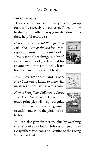## **For Christians**

Please visit our website where you can sign up for our free weekly e-newsletter. To learn how to share your faith the way Jesus did, don't miss these helpful resources:

*God Has a Wonderful Plan for Your Life: The Myth of the Modern Message* (our most important book). This essential teaching, in a brief, easy-to-read book, is designed for anyone who wants to quickly learn how to share the gospel biblically.

*Hell's Best Kept Secret* and *True & False Conversion.* Listen to these vital messages free at LivingWaters.com.

*How to Bring Your Children to Christ . . . & Keep Them There.* These timetested principles will help you guide your children to experience genuine salvation and avoid the pitfall of rebellion.







You can also gain further insights by watching the *Way of the Master* television program (WayoftheMaster.com) or listening to the Living Waters podcast.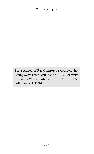For a catalog of Ray Comfort's resources, visit LivingWaters.com, call 800-437-1893, or write to: Living Waters Publications, P.O. Box 1172, Bellflower, CA 90707.